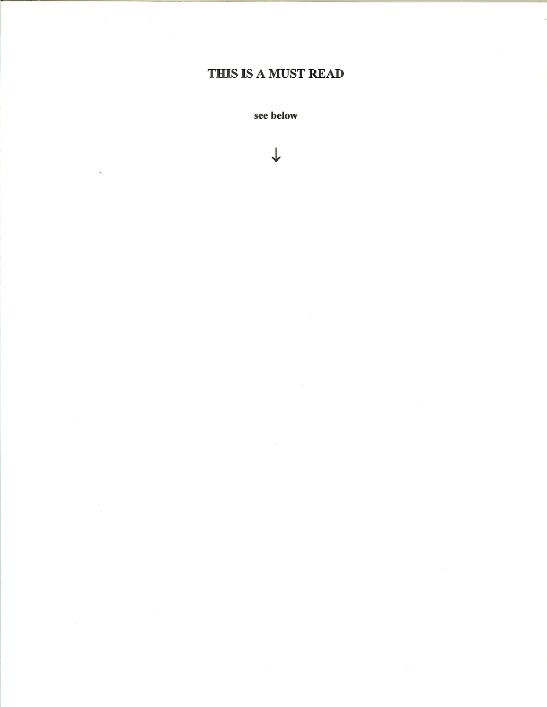# THIS IS A MUST READ

see below

 $\downarrow$ 

 $\lambda$ 

 $\sim$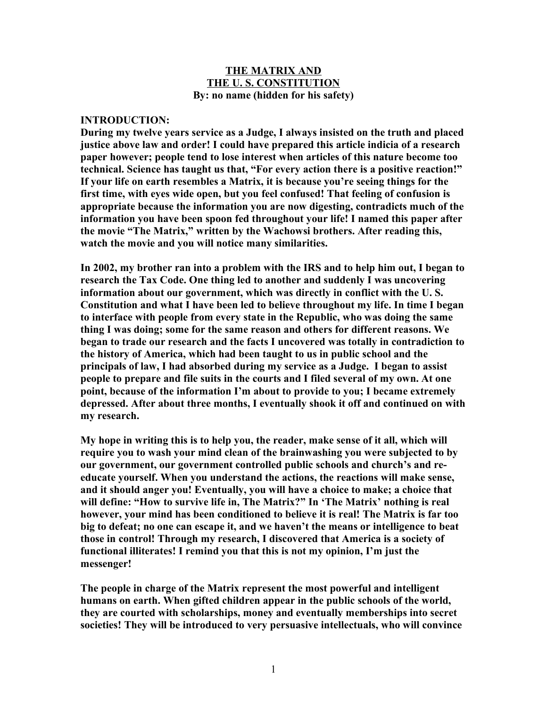#### **THE MATRIX AND THE U. S. CONSTITUTION By: no name (hidden for his safety)**

#### **INTRODUCTION:**

**During my twelve years service as a Judge, I always insisted on the truth and placed justice above law and order! I could have prepared this article indicia of a research paper however; people tend to lose interest when articles of this nature become too technical. Science has taught us that, "For every action there is a positive reaction!" If your life on earth resembles a Matrix, it is because you're seeing things for the first time, with eyes wide open, but you feel confused! That feeling of confusion is appropriate because the information you are now digesting, contradicts much of the information you have been spoon fed throughout your life! I named this paper after the movie "The Matrix," written by the Wachowsi brothers. After reading this, watch the movie and you will notice many similarities.** 

**In 2002, my brother ran into a problem with the IRS and to help him out, I began to research the Tax Code. One thing led to another and suddenly I was uncovering information about our government, which was directly in conflict with the U. S. Constitution and what I have been led to believe throughout my life. In time I began to interface with people from every state in the Republic, who was doing the same thing I was doing; some for the same reason and others for different reasons. We began to trade our research and the facts I uncovered was totally in contradiction to the history of America, which had been taught to us in public school and the principals of law, I had absorbed during my service as a Judge. I began to assist people to prepare and file suits in the courts and I filed several of my own. At one point, because of the information I'm about to provide to you; I became extremely depressed. After about three months, I eventually shook it off and continued on with my research.** 

**My hope in writing this is to help you, the reader, make sense of it all, which will require you to wash your mind clean of the brainwashing you were subjected to by our government, our government controlled public schools and church's and reeducate yourself. When you understand the actions, the reactions will make sense, and it should anger you! Eventually, you will have a choice to make; a choice that will define: "How to survive life in, The Matrix?" In 'The Matrix' nothing is real however, your mind has been conditioned to believe it is real! The Matrix is far too big to defeat; no one can escape it, and we haven't the means or intelligence to beat those in control! Through my research, I discovered that America is a society of functional illiterates! I remind you that this is not my opinion, I'm just the messenger!**

**The people in charge of the Matrix represent the most powerful and intelligent humans on earth. When gifted children appear in the public schools of the world, they are courted with scholarships, money and eventually memberships into secret societies! They will be introduced to very persuasive intellectuals, who will convince**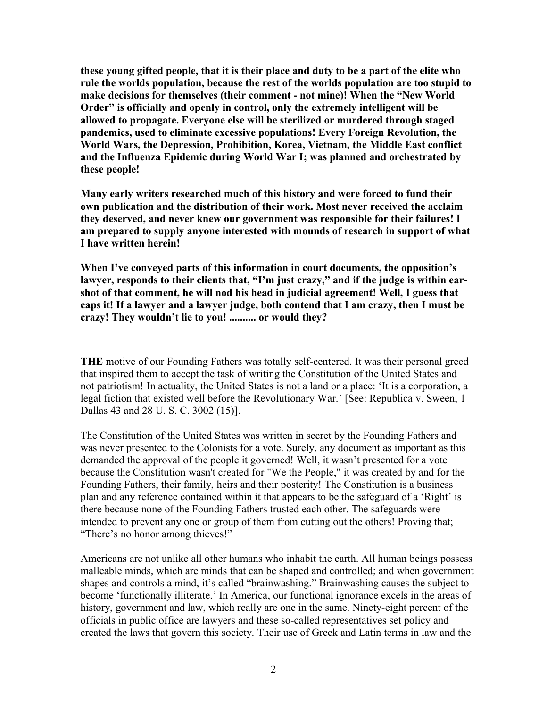**these young gifted people, that it is their place and duty to be a part of the elite who rule the worlds population, because the rest of the worlds population are too stupid to make decisions for themselves (their comment - not mine)! When the "New World Order" is officially and openly in control, only the extremely intelligent will be allowed to propagate. Everyone else will be sterilized or murdered through staged pandemics, used to eliminate excessive populations! Every Foreign Revolution, the World Wars, the Depression, Prohibition, Korea, Vietnam, the Middle East conflict and the Influenza Epidemic during World War I; was planned and orchestrated by these people!**

**Many early writers researched much of this history and were forced to fund their own publication and the distribution of their work. Most never received the acclaim they deserved, and never knew our government was responsible for their failures! I am prepared to supply anyone interested with mounds of research in support of what I have written herein!**

**When I've conveyed parts of this information in court documents, the opposition's** lawyer, responds to their clients that, "I'm just crazy," and if the judge is within ear**shot of that comment, he will nod his head in judicial agreement! Well, I guess that caps it! If a lawyer and a lawyer judge, both contend that I am crazy, then I must be crazy! They wouldn't lie to you! .......... or would they?** 

**THE** motive of our Founding Fathers was totally self-centered. It was their personal greed that inspired them to accept the task of writing the Constitution of the United States and not patriotism! In actuality, the United States is not a land or a place: 'It is a corporation, a legal fiction that existed well before the Revolutionary War.' [See: Republica v. Sween, 1 Dallas 43 and 28 U. S. C. 3002 (15)].

The Constitution of the United States was written in secret by the Founding Fathers and was never presented to the Colonists for a vote. Surely, any document as important as this demanded the approval of the people it governed! Well, it wasn't presented for a vote because the Constitution wasn't created for "We the People," it was created by and for the Founding Fathers, their family, heirs and their posterity! The Constitution is a business plan and any reference contained within it that appears to be the safeguard of a 'Right' is there because none of the Founding Fathers trusted each other. The safeguards were intended to prevent any one or group of them from cutting out the others! Proving that; "There's no honor among thieves!"

Americans are not unlike all other humans who inhabit the earth. All human beings possess malleable minds, which are minds that can be shaped and controlled; and when government shapes and controls a mind, it's called "brainwashing." Brainwashing causes the subject to become 'functionally illiterate.' In America, our functional ignorance excels in the areas of history, government and law, which really are one in the same. Ninety-eight percent of the officials in public office are lawyers and these so-called representatives set policy and created the laws that govern this society. Their use of Greek and Latin terms in law and the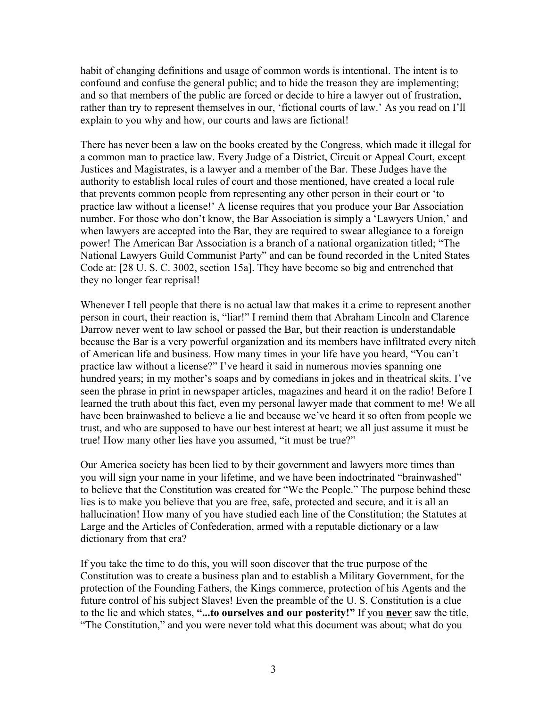habit of changing definitions and usage of common words is intentional. The intent is to confound and confuse the general public; and to hide the treason they are implementing; and so that members of the public are forced or decide to hire a lawyer out of frustration, rather than try to represent themselves in our, 'fictional courts of law.' As you read on I'll explain to you why and how, our courts and laws are fictional!

There has never been a law on the books created by the Congress, which made it illegal for a common man to practice law. Every Judge of a District, Circuit or Appeal Court, except Justices and Magistrates, is a lawyer and a member of the Bar. These Judges have the authority to establish local rules of court and those mentioned, have created a local rule that prevents common people from representing any other person in their court or 'to practice law without a license!' A license requires that you produce your Bar Association number. For those who don't know, the Bar Association is simply a 'Lawyers Union,' and when lawyers are accepted into the Bar, they are required to swear allegiance to a foreign power! The American Bar Association is a branch of a national organization titled; "The National Lawyers Guild Communist Party" and can be found recorded in the United States Code at: [28 U. S. C. 3002, section 15a]. They have become so big and entrenched that they no longer fear reprisal!

Whenever I tell people that there is no actual law that makes it a crime to represent another person in court, their reaction is, "liar!" I remind them that Abraham Lincoln and Clarence Darrow never went to law school or passed the Bar, but their reaction is understandable because the Bar is a very powerful organization and its members have infiltrated every nitch of American life and business. How many times in your life have you heard, "You can't practice law without a license?" I've heard it said in numerous movies spanning one hundred years; in my mother's soaps and by comedians in jokes and in theatrical skits. I've seen the phrase in print in newspaper articles, magazines and heard it on the radio! Before I learned the truth about this fact, even my personal lawyer made that comment to me! We all have been brainwashed to believe a lie and because we've heard it so often from people we trust, and who are supposed to have our best interest at heart; we all just assume it must be true! How many other lies have you assumed, "it must be true?"

Our America society has been lied to by their government and lawyers more times than you will sign your name in your lifetime, and we have been indoctrinated "brainwashed" to believe that the Constitution was created for "We the People." The purpose behind these lies is to make you believe that you are free, safe, protected and secure, and it is all an hallucination! How many of you have studied each line of the Constitution; the Statutes at Large and the Articles of Confederation, armed with a reputable dictionary or a law dictionary from that era?

If you take the time to do this, you will soon discover that the true purpose of the Constitution was to create a business plan and to establish a Military Government, for the protection of the Founding Fathers, the Kings commerce, protection of his Agents and the future control of his subject Slaves! Even the preamble of the U. S. Constitution is a clue to the lie and which states, **"...to ourselves and our posterity!"** If you **never** saw the title, "The Constitution," and you were never told what this document was about; what do you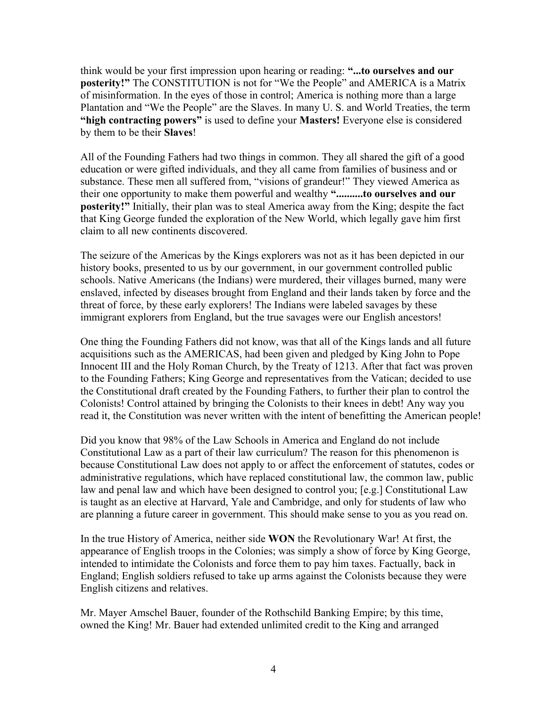think would be your first impression upon hearing or reading: **"...to ourselves and our posterity!"** The CONSTITUTION is not for "We the People" and AMERICA is a Matrix of misinformation. In the eyes of those in control; America is nothing more than a large Plantation and "We the People" are the Slaves. In many U. S. and World Treaties, the term **"high contracting powers"** is used to define your **Masters!** Everyone else is considered by them to be their **Slaves**!

All of the Founding Fathers had two things in common. They all shared the gift of a good education or were gifted individuals, and they all came from families of business and or substance. These men all suffered from, "visions of grandeur!" They viewed America as their one opportunity to make them powerful and wealthy **"..........to ourselves and our posterity!"** Initially, their plan was to steal America away from the King; despite the fact that King George funded the exploration of the New World, which legally gave him first claim to all new continents discovered.

The seizure of the Americas by the Kings explorers was not as it has been depicted in our history books, presented to us by our government, in our government controlled public schools. Native Americans (the Indians) were murdered, their villages burned, many were enslaved, infected by diseases brought from England and their lands taken by force and the threat of force, by these early explorers! The Indians were labeled savages by these immigrant explorers from England, but the true savages were our English ancestors!

One thing the Founding Fathers did not know, was that all of the Kings lands and all future acquisitions such as the AMERICAS, had been given and pledged by King John to Pope Innocent III and the Holy Roman Church, by the Treaty of 1213. After that fact was proven to the Founding Fathers; King George and representatives from the Vatican; decided to use the Constitutional draft created by the Founding Fathers, to further their plan to control the Colonists! Control attained by bringing the Colonists to their knees in debt! Any way you read it, the Constitution was never written with the intent of benefitting the American people!

Did you know that 98% of the Law Schools in America and England do not include Constitutional Law as a part of their law curriculum? The reason for this phenomenon is because Constitutional Law does not apply to or affect the enforcement of statutes, codes or administrative regulations, which have replaced constitutional law, the common law, public law and penal law and which have been designed to control you; [e.g.] Constitutional Law is taught as an elective at Harvard, Yale and Cambridge, and only for students of law who are planning a future career in government. This should make sense to you as you read on.

In the true History of America, neither side **WON** the Revolutionary War! At first, the appearance of English troops in the Colonies; was simply a show of force by King George, intended to intimidate the Colonists and force them to pay him taxes. Factually, back in England; English soldiers refused to take up arms against the Colonists because they were English citizens and relatives.

Mr. Mayer Amschel Bauer, founder of the Rothschild Banking Empire; by this time, owned the King! Mr. Bauer had extended unlimited credit to the King and arranged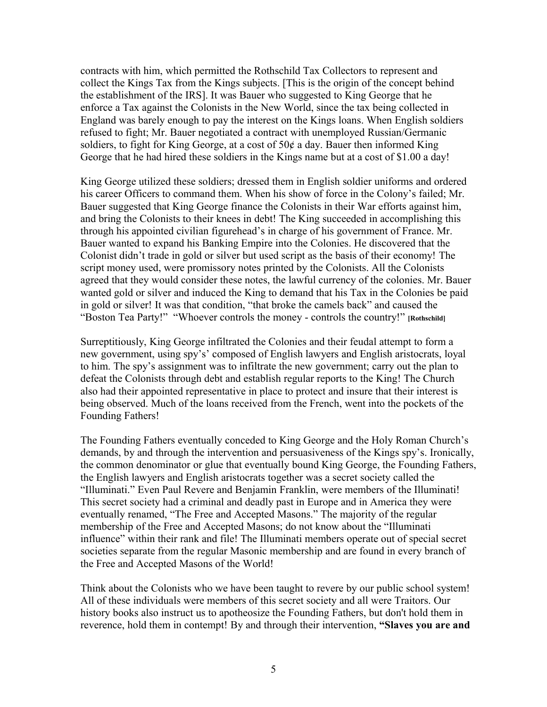contracts with him, which permitted the Rothschild Tax Collectors to represent and collect the Kings Tax from the Kings subjects. [This is the origin of the concept behind the establishment of the IRS]. It was Bauer who suggested to King George that he enforce a Tax against the Colonists in the New World, since the tax being collected in England was barely enough to pay the interest on the Kings loans. When English soldiers refused to fight; Mr. Bauer negotiated a contract with unemployed Russian/Germanic soldiers, to fight for King George, at a cost of  $50¢$  a day. Bauer then informed King George that he had hired these soldiers in the Kings name but at a cost of \$1.00 a day!

King George utilized these soldiers; dressed them in English soldier uniforms and ordered his career Officers to command them. When his show of force in the Colony's failed; Mr. Bauer suggested that King George finance the Colonists in their War efforts against him, and bring the Colonists to their knees in debt! The King succeeded in accomplishing this through his appointed civilian figurehead's in charge of his government of France. Mr. Bauer wanted to expand his Banking Empire into the Colonies. He discovered that the Colonist didn't trade in gold or silver but used script as the basis of their economy! The script money used, were promissory notes printed by the Colonists. All the Colonists agreed that they would consider these notes, the lawful currency of the colonies. Mr. Bauer wanted gold or silver and induced the King to demand that his Tax in the Colonies be paid in gold or silver! It was that condition, "that broke the camels back" and caused the "Boston Tea Party!" "Whoever controls the money - controls the country!" **[Rothschild]**

Surreptitiously, King George infiltrated the Colonies and their feudal attempt to form a new government, using spy's' composed of English lawyers and English aristocrats, loyal to him. The spy's assignment was to infiltrate the new government; carry out the plan to defeat the Colonists through debt and establish regular reports to the King! The Church also had their appointed representative in place to protect and insure that their interest is being observed. Much of the loans received from the French, went into the pockets of the Founding Fathers!

The Founding Fathers eventually conceded to King George and the Holy Roman Church's demands, by and through the intervention and persuasiveness of the Kings spy's. Ironically, the common denominator or glue that eventually bound King George, the Founding Fathers, the English lawyers and English aristocrats together was a secret society called the "Illuminati." Even Paul Revere and Benjamin Franklin, were members of the Illuminati! This secret society had a criminal and deadly past in Europe and in America they were eventually renamed, "The Free and Accepted Masons." The majority of the regular membership of the Free and Accepted Masons; do not know about the "Illuminati influence" within their rank and file! The Illuminati members operate out of special secret societies separate from the regular Masonic membership and are found in every branch of the Free and Accepted Masons of the World!

Think about the Colonists who we have been taught to revere by our public school system! All of these individuals were members of this secret society and all were Traitors. Our history books also instruct us to apotheosize the Founding Fathers, but don't hold them in reverence, hold them in contempt! By and through their intervention, **"Slaves you are and**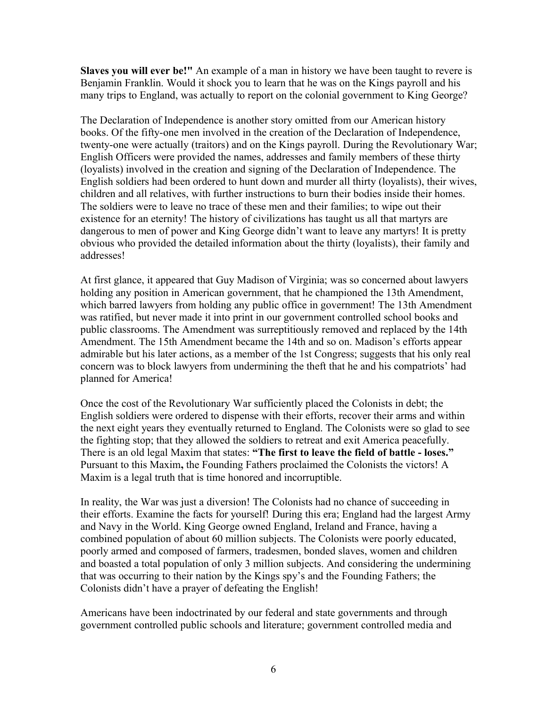**Slaves you will ever be!"** An example of a man in history we have been taught to revere is Benjamin Franklin. Would it shock you to learn that he was on the Kings payroll and his many trips to England, was actually to report on the colonial government to King George?

The Declaration of Independence is another story omitted from our American history books. Of the fifty-one men involved in the creation of the Declaration of Independence, twenty-one were actually (traitors) and on the Kings payroll. During the Revolutionary War; English Officers were provided the names, addresses and family members of these thirty (loyalists) involved in the creation and signing of the Declaration of Independence. The English soldiers had been ordered to hunt down and murder all thirty (loyalists), their wives, children and all relatives, with further instructions to burn their bodies inside their homes. The soldiers were to leave no trace of these men and their families; to wipe out their existence for an eternity! The history of civilizations has taught us all that martyrs are dangerous to men of power and King George didn't want to leave any martyrs! It is pretty obvious who provided the detailed information about the thirty (loyalists), their family and addresses!

At first glance, it appeared that Guy Madison of Virginia; was so concerned about lawyers holding any position in American government, that he championed the 13th Amendment, which barred lawyers from holding any public office in government! The 13th Amendment was ratified, but never made it into print in our government controlled school books and public classrooms. The Amendment was surreptitiously removed and replaced by the 14th Amendment. The 15th Amendment became the 14th and so on. Madison's efforts appear admirable but his later actions, as a member of the 1st Congress; suggests that his only real concern was to block lawyers from undermining the theft that he and his compatriots' had planned for America!

Once the cost of the Revolutionary War sufficiently placed the Colonists in debt; the English soldiers were ordered to dispense with their efforts, recover their arms and within the next eight years they eventually returned to England. The Colonists were so glad to see the fighting stop; that they allowed the soldiers to retreat and exit America peacefully. There is an old legal Maxim that states: **"The first to leave the field of battle - loses."** Pursuant to this Maxim**,** the Founding Fathers proclaimed the Colonists the victors! A Maxim is a legal truth that is time honored and incorruptible.

In reality, the War was just a diversion! The Colonists had no chance of succeeding in their efforts. Examine the facts for yourself! During this era; England had the largest Army and Navy in the World. King George owned England, Ireland and France, having a combined population of about 60 million subjects. The Colonists were poorly educated, poorly armed and composed of farmers, tradesmen, bonded slaves, women and children and boasted a total population of only 3 million subjects. And considering the undermining that was occurring to their nation by the Kings spy's and the Founding Fathers; the Colonists didn't have a prayer of defeating the English!

Americans have been indoctrinated by our federal and state governments and through government controlled public schools and literature; government controlled media and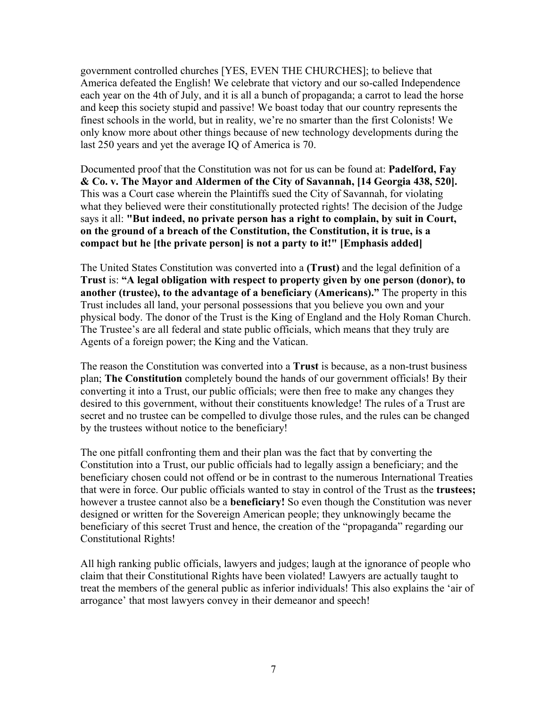government controlled churches [YES, EVEN THE CHURCHES]; to believe that America defeated the English! We celebrate that victory and our so-called Independence each year on the 4th of July, and it is all a bunch of propaganda; a carrot to lead the horse and keep this society stupid and passive! We boast today that our country represents the finest schools in the world, but in reality, we're no smarter than the first Colonists! We only know more about other things because of new technology developments during the last 250 years and yet the average IQ of America is 70.

Documented proof that the Constitution was not for us can be found at: **Padelford, Fay & Co. v. The Mayor and Aldermen of the City of Savannah, [14 Georgia 438, 520].** This was a Court case wherein the Plaintiffs sued the City of Savannah, for violating what they believed were their constitutionally protected rights! The decision of the Judge says it all: **"But indeed, no private person has a right to complain, by suit in Court, on the ground of a breach of the Constitution, the Constitution, it is true, is a compact but he [the private person] is not a party to it!" [Emphasis added]**

The United States Constitution was converted into a **(Trust)** and the legal definition of a **Trust** is: **"A legal obligation with respect to property given by one person (donor), to another (trustee), to the advantage of a beneficiary (Americans)."** The property in this Trust includes all land, your personal possessions that you believe you own and your physical body. The donor of the Trust is the King of England and the Holy Roman Church. The Trustee's are all federal and state public officials, which means that they truly are Agents of a foreign power; the King and the Vatican.

The reason the Constitution was converted into a **Trust** is because, as a non-trust business plan; **The Constitution** completely bound the hands of our government officials! By their converting it into a Trust, our public officials; were then free to make any changes they desired to this government, without their constituents knowledge! The rules of a Trust are secret and no trustee can be compelled to divulge those rules, and the rules can be changed by the trustees without notice to the beneficiary!

The one pitfall confronting them and their plan was the fact that by converting the Constitution into a Trust, our public officials had to legally assign a beneficiary; and the beneficiary chosen could not offend or be in contrast to the numerous International Treaties that were in force. Our public officials wanted to stay in control of the Trust as the **trustees;** however a trustee cannot also be a **beneficiary!** So even though the Constitution was never designed or written for the Sovereign American people; they unknowingly became the beneficiary of this secret Trust and hence, the creation of the "propaganda" regarding our Constitutional Rights!

All high ranking public officials, lawyers and judges; laugh at the ignorance of people who claim that their Constitutional Rights have been violated! Lawyers are actually taught to treat the members of the general public as inferior individuals! This also explains the 'air of arrogance' that most lawyers convey in their demeanor and speech!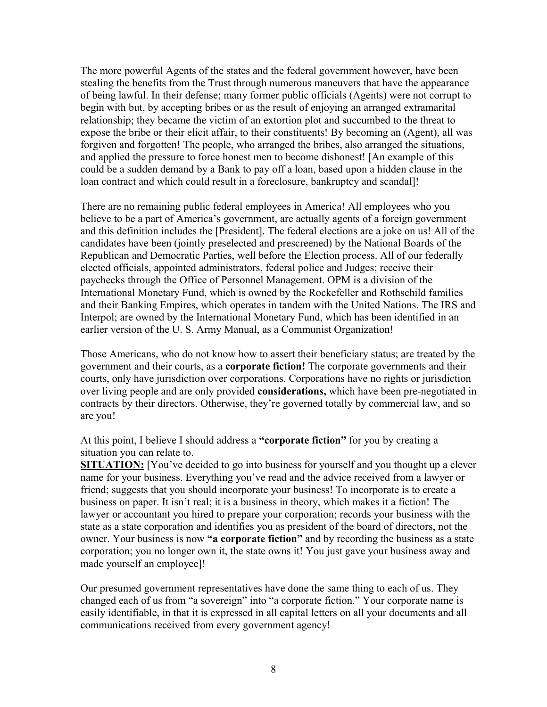The more powerful Agents of the states and the federal government however, have been stealing the benefits from the Trust through numerous maneuvers that have the appearance of being lawful. In their defense; many former public officials (Agents) were not corrupt to begin with but, by accepting bribes or as the result of enjoying an arranged extramarital relationship; they became the victim of an extortion plot and succumbed to the threat to expose the bribe or their elicit affair, to their constituents! By becoming an (Agent), all was forgiven and forgotten! The people, who arranged the bribes, also arranged the situations, and applied the pressure to force honest men to become dishonest! [An example of this could be a sudden demand by a Bank to pay off a loan, based upon a hidden clause in the loan contract and which could result in a foreclosure, bankruptcy and scandal]!

There are no remaining public federal employees in America! All employees who you believe to be a part of America's government, are actually agents of a foreign government and this definition includes the [President]. The federal elections are a joke on us! All of the candidates have been (jointly preselected and prescreened) by the National Boards of the Republican and Democratic Parties, well before the Election process. All of our federally elected officials, appointed administrators, federal police and Judges; receive their paychecks through the Office of Personnel Management. OPM is a division of the International Monetary Fund, which is owned by the Rockefeller and Rothschild families and their Banking Empires, which operates in tandem with the United Nations. The IRS and Interpol; are owned by the International Monetary Fund, which has been identified in an earlier version of the U. S. Army Manual, as a Communist Organization!

Those Americans, who do not know how to assert their beneficiary status; are treated by the government and their courts, as a **corporate fiction!** The corporate governments and their courts, only have jurisdiction over corporations. Corporations have no rights or jurisdiction over living people and are only provided **considerations,** which have been pre-negotiated in contracts by their directors. Otherwise, they're governed totally by commercial law, and so are you!

At this point, I believe I should address a **"corporate fiction"** for you by creating a situation you can relate to.

**SITUATION:** [You've decided to go into business for yourself and you thought up a clever name for your business. Everything you've read and the advice received from a lawyer or friend; suggests that you should incorporate your business! To incorporate is to create a business on paper. It isn't real; it is a business in theory, which makes it a fiction! The lawyer or accountant you hired to prepare your corporation; records your business with the state as a state corporation and identifies you as president of the board of directors, not the owner. Your business is now **"a corporate fiction"** and by recording the business as a state corporation; you no longer own it, the state owns it! You just gave your business away and made yourself an employee]!

Our presumed government representatives have done the same thing to each of us. They changed each of us from "a sovereign" into "a corporate fiction." Your corporate name is easily identifiable, in that it is expressed in all capital letters on all your documents and all communications received from every government agency!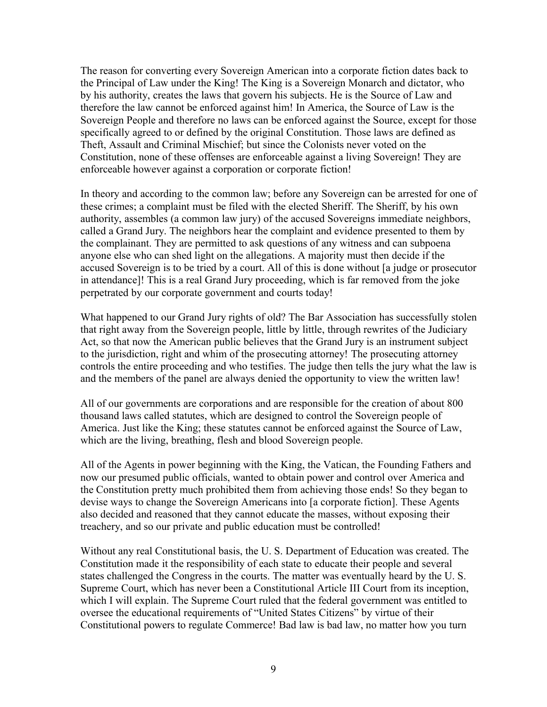The reason for converting every Sovereign American into a corporate fiction dates back to the Principal of Law under the King! The King is a Sovereign Monarch and dictator, who by his authority, creates the laws that govern his subjects. He is the Source of Law and therefore the law cannot be enforced against him! In America, the Source of Law is the Sovereign People and therefore no laws can be enforced against the Source, except for those specifically agreed to or defined by the original Constitution. Those laws are defined as Theft, Assault and Criminal Mischief; but since the Colonists never voted on the Constitution, none of these offenses are enforceable against a living Sovereign! They are enforceable however against a corporation or corporate fiction!

In theory and according to the common law; before any Sovereign can be arrested for one of these crimes; a complaint must be filed with the elected Sheriff. The Sheriff, by his own authority, assembles (a common law jury) of the accused Sovereigns immediate neighbors, called a Grand Jury. The neighbors hear the complaint and evidence presented to them by the complainant. They are permitted to ask questions of any witness and can subpoena anyone else who can shed light on the allegations. A majority must then decide if the accused Sovereign is to be tried by a court. All of this is done without [a judge or prosecutor in attendance]! This is a real Grand Jury proceeding, which is far removed from the joke perpetrated by our corporate government and courts today!

What happened to our Grand Jury rights of old? The Bar Association has successfully stolen that right away from the Sovereign people, little by little, through rewrites of the Judiciary Act, so that now the American public believes that the Grand Jury is an instrument subject to the jurisdiction, right and whim of the prosecuting attorney! The prosecuting attorney controls the entire proceeding and who testifies. The judge then tells the jury what the law is and the members of the panel are always denied the opportunity to view the written law!

All of our governments are corporations and are responsible for the creation of about 800 thousand laws called statutes, which are designed to control the Sovereign people of America. Just like the King; these statutes cannot be enforced against the Source of Law, which are the living, breathing, flesh and blood Sovereign people.

All of the Agents in power beginning with the King, the Vatican, the Founding Fathers and now our presumed public officials, wanted to obtain power and control over America and the Constitution pretty much prohibited them from achieving those ends! So they began to devise ways to change the Sovereign Americans into [a corporate fiction]. These Agents also decided and reasoned that they cannot educate the masses, without exposing their treachery, and so our private and public education must be controlled!

Without any real Constitutional basis, the U. S. Department of Education was created. The Constitution made it the responsibility of each state to educate their people and several states challenged the Congress in the courts. The matter was eventually heard by the U. S. Supreme Court, which has never been a Constitutional Article III Court from its inception, which I will explain. The Supreme Court ruled that the federal government was entitled to oversee the educational requirements of "United States Citizens" by virtue of their Constitutional powers to regulate Commerce! Bad law is bad law, no matter how you turn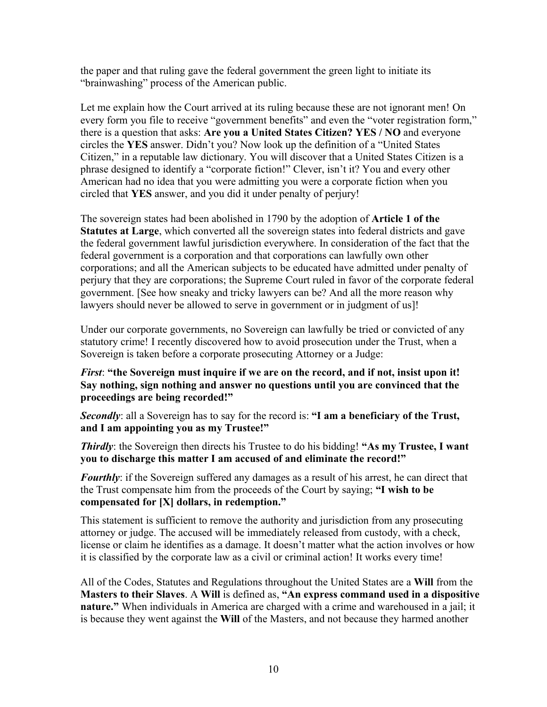the paper and that ruling gave the federal government the green light to initiate its "brainwashing" process of the American public.

Let me explain how the Court arrived at its ruling because these are not ignorant men! On every form you file to receive "government benefits" and even the "voter registration form," there is a question that asks: **Are you a United States Citizen? YES / NO** and everyone circles the **YES** answer. Didn't you? Now look up the definition of a "United States Citizen," in a reputable law dictionary. You will discover that a United States Citizen is a phrase designed to identify a "corporate fiction!" Clever, isn't it? You and every other American had no idea that you were admitting you were a corporate fiction when you circled that **YES** answer, and you did it under penalty of perjury!

The sovereign states had been abolished in 1790 by the adoption of **Article 1 of the Statutes at Large**, which converted all the sovereign states into federal districts and gave the federal government lawful jurisdiction everywhere. In consideration of the fact that the federal government is a corporation and that corporations can lawfully own other corporations; and all the American subjects to be educated have admitted under penalty of perjury that they are corporations; the Supreme Court ruled in favor of the corporate federal government. [See how sneaky and tricky lawyers can be? And all the more reason why lawyers should never be allowed to serve in government or in judgment of us]!

Under our corporate governments, no Sovereign can lawfully be tried or convicted of any statutory crime! I recently discovered how to avoid prosecution under the Trust, when a Sovereign is taken before a corporate prosecuting Attorney or a Judge:

### *First*: **"the Sovereign must inquire if we are on the record, and if not, insist upon it! Say nothing, sign nothing and answer no questions until you are convinced that the proceedings are being recorded!"**

*Secondly*: all a Sovereign has to say for the record is: **"I am a beneficiary of the Trust, and I am appointing you as my Trustee!"**

*Thirdly*: the Sovereign then directs his Trustee to do his bidding! **"As my Trustee, I want you to discharge this matter I am accused of and eliminate the record!"**

*Fourthly*: if the Sovereign suffered any damages as a result of his arrest, he can direct that the Trust compensate him from the proceeds of the Court by saying; **"I wish to be compensated for [X] dollars, in redemption."**

This statement is sufficient to remove the authority and jurisdiction from any prosecuting attorney or judge. The accused will be immediately released from custody, with a check, license or claim he identifies as a damage. It doesn't matter what the action involves or how it is classified by the corporate law as a civil or criminal action! It works every time!

All of the Codes, Statutes and Regulations throughout the United States are a **Will** from the **Masters to their Slaves**. A **Will** is defined as, **"An express command used in a dispositive nature."** When individuals in America are charged with a crime and warehoused in a jail; it is because they went against the **Will** of the Masters, and not because they harmed another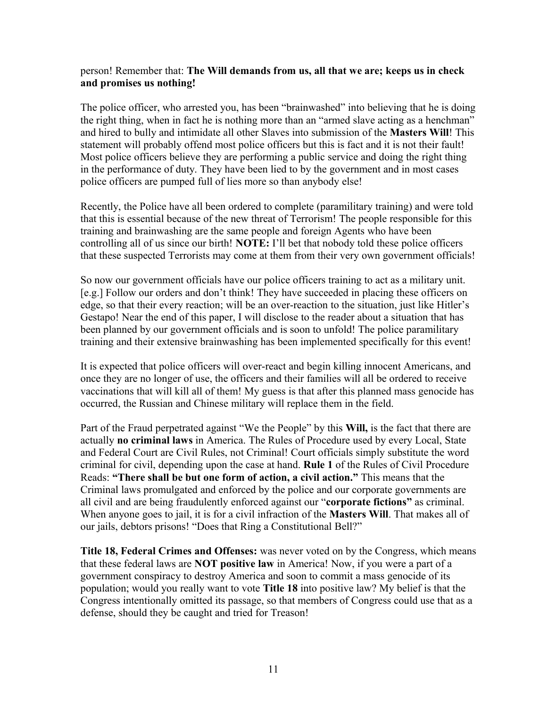#### person! Remember that: **The Will demands from us, all that we are; keeps us in check and promises us nothing!**

The police officer, who arrested you, has been "brainwashed" into believing that he is doing the right thing, when in fact he is nothing more than an "armed slave acting as a henchman" and hired to bully and intimidate all other Slaves into submission of the **Masters Will**! This statement will probably offend most police officers but this is fact and it is not their fault! Most police officers believe they are performing a public service and doing the right thing in the performance of duty. They have been lied to by the government and in most cases police officers are pumped full of lies more so than anybody else!

Recently, the Police have all been ordered to complete (paramilitary training) and were told that this is essential because of the new threat of Terrorism! The people responsible for this training and brainwashing are the same people and foreign Agents who have been controlling all of us since our birth! **NOTE:** I'll bet that nobody told these police officers that these suspected Terrorists may come at them from their very own government officials!

So now our government officials have our police officers training to act as a military unit. [e.g.] Follow our orders and don't think! They have succeeded in placing these officers on edge, so that their every reaction; will be an over-reaction to the situation, just like Hitler's Gestapo! Near the end of this paper, I will disclose to the reader about a situation that has been planned by our government officials and is soon to unfold! The police paramilitary training and their extensive brainwashing has been implemented specifically for this event!

It is expected that police officers will over-react and begin killing innocent Americans, and once they are no longer of use, the officers and their families will all be ordered to receive vaccinations that will kill all of them! My guess is that after this planned mass genocide has occurred, the Russian and Chinese military will replace them in the field.

Part of the Fraud perpetrated against "We the People" by this **Will,** is the fact that there are actually **no criminal laws** in America. The Rules of Procedure used by every Local, State and Federal Court are Civil Rules, not Criminal! Court officials simply substitute the word criminal for civil, depending upon the case at hand. **Rule 1** of the Rules of Civil Procedure Reads: **"There shall be but one form of action, a civil action."** This means that the Criminal laws promulgated and enforced by the police and our corporate governments are all civil and are being fraudulently enforced against our "**corporate fictions"** as criminal. When anyone goes to jail, it is for a civil infraction of the **Masters Will**. That makes all of our jails, debtors prisons! "Does that Ring a Constitutional Bell?"

**Title 18, Federal Crimes and Offenses:** was never voted on by the Congress, which means that these federal laws are **NOT positive law** in America! Now, if you were a part of a government conspiracy to destroy America and soon to commit a mass genocide of its population; would you really want to vote **Title 18** into positive law? My belief is that the Congress intentionally omitted its passage, so that members of Congress could use that as a defense, should they be caught and tried for Treason!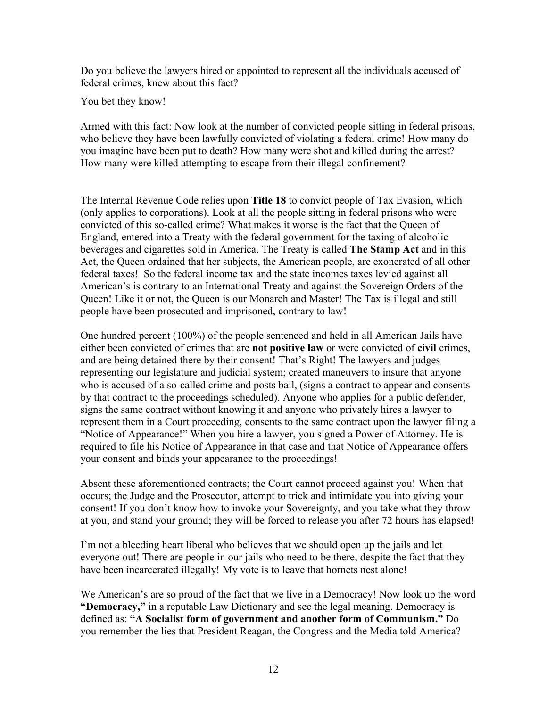Do you believe the lawyers hired or appointed to represent all the individuals accused of federal crimes, knew about this fact?

You bet they know!

Armed with this fact: Now look at the number of convicted people sitting in federal prisons, who believe they have been lawfully convicted of violating a federal crime! How many do you imagine have been put to death? How many were shot and killed during the arrest? How many were killed attempting to escape from their illegal confinement?

The Internal Revenue Code relies upon **Title 18** to convict people of Tax Evasion, which (only applies to corporations). Look at all the people sitting in federal prisons who were convicted of this so-called crime? What makes it worse is the fact that the Queen of England, entered into a Treaty with the federal government for the taxing of alcoholic beverages and cigarettes sold in America. The Treaty is called **The Stamp Act** and in this Act, the Queen ordained that her subjects, the American people, are exonerated of all other federal taxes! So the federal income tax and the state incomes taxes levied against all American's is contrary to an International Treaty and against the Sovereign Orders of the Queen! Like it or not, the Queen is our Monarch and Master! The Tax is illegal and still people have been prosecuted and imprisoned, contrary to law!

One hundred percent (100%) of the people sentenced and held in all American Jails have either been convicted of crimes that are **not positive law** or were convicted of **civil** crimes, and are being detained there by their consent! That's Right! The lawyers and judges representing our legislature and judicial system; created maneuvers to insure that anyone who is accused of a so-called crime and posts bail, (signs a contract to appear and consents by that contract to the proceedings scheduled). Anyone who applies for a public defender, signs the same contract without knowing it and anyone who privately hires a lawyer to represent them in a Court proceeding, consents to the same contract upon the lawyer filing a "Notice of Appearance!" When you hire a lawyer, you signed a Power of Attorney. He is required to file his Notice of Appearance in that case and that Notice of Appearance offers your consent and binds your appearance to the proceedings!

Absent these aforementioned contracts; the Court cannot proceed against you! When that occurs; the Judge and the Prosecutor, attempt to trick and intimidate you into giving your consent! If you don't know how to invoke your Sovereignty, and you take what they throw at you, and stand your ground; they will be forced to release you after 72 hours has elapsed!

I'm not a bleeding heart liberal who believes that we should open up the jails and let everyone out! There are people in our jails who need to be there, despite the fact that they have been incarcerated illegally! My vote is to leave that hornets nest alone!

We American's are so proud of the fact that we live in a Democracy! Now look up the word **"Democracy,"** in a reputable Law Dictionary and see the legal meaning. Democracy is defined as: **"A Socialist form of government and another form of Communism."** Do you remember the lies that President Reagan, the Congress and the Media told America?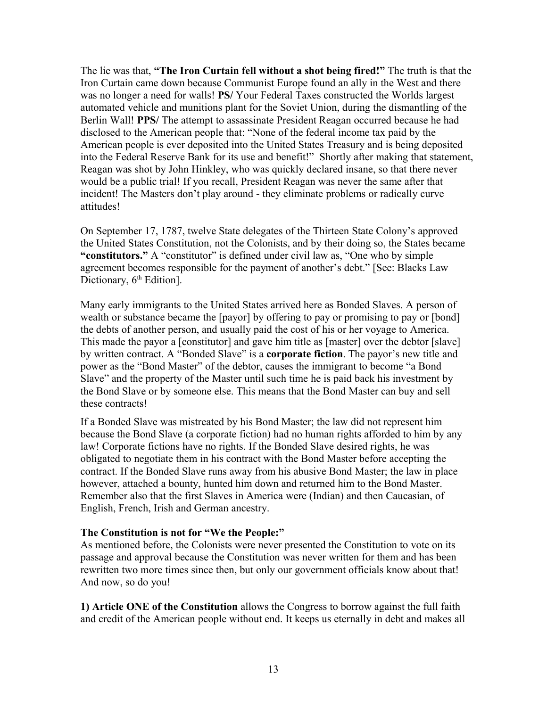The lie was that, **"The Iron Curtain fell without a shot being fired!"** The truth is that the Iron Curtain came down because Communist Europe found an ally in the West and there was no longer a need for walls! **PS/** Your Federal Taxes constructed the Worlds largest automated vehicle and munitions plant for the Soviet Union, during the dismantling of the Berlin Wall! **PPS/** The attempt to assassinate President Reagan occurred because he had disclosed to the American people that: "None of the federal income tax paid by the American people is ever deposited into the United States Treasury and is being deposited into the Federal Reserve Bank for its use and benefit!" Shortly after making that statement, Reagan was shot by John Hinkley, who was quickly declared insane, so that there never would be a public trial! If you recall, President Reagan was never the same after that incident! The Masters don't play around - they eliminate problems or radically curve attitudes!

On September 17, 1787, twelve State delegates of the Thirteen State Colony's approved the United States Constitution, not the Colonists, and by their doing so, the States became **"constitutors."** A "constitutor" is defined under civil law as, "One who by simple agreement becomes responsible for the payment of another's debt." [See: Blacks Law Dictionary,  $6<sup>th</sup>$  Edition].

Many early immigrants to the United States arrived here as Bonded Slaves. A person of wealth or substance became the [payor] by offering to pay or promising to pay or [bond] the debts of another person, and usually paid the cost of his or her voyage to America. This made the payor a [constitutor] and gave him title as [master] over the debtor [slave] by written contract. A "Bonded Slave" is a **corporate fiction**. The payor's new title and power as the "Bond Master" of the debtor, causes the immigrant to become "a Bond Slave" and the property of the Master until such time he is paid back his investment by the Bond Slave or by someone else. This means that the Bond Master can buy and sell these contracts!

If a Bonded Slave was mistreated by his Bond Master; the law did not represent him because the Bond Slave (a corporate fiction) had no human rights afforded to him by any law! Corporate fictions have no rights. If the Bonded Slave desired rights, he was obligated to negotiate them in his contract with the Bond Master before accepting the contract. If the Bonded Slave runs away from his abusive Bond Master; the law in place however, attached a bounty, hunted him down and returned him to the Bond Master. Remember also that the first Slaves in America were (Indian) and then Caucasian, of English, French, Irish and German ancestry.

#### **The Constitution is not for "We the People:"**

As mentioned before, the Colonists were never presented the Constitution to vote on its passage and approval because the Constitution was never written for them and has been rewritten two more times since then, but only our government officials know about that! And now, so do you!

**1) Article ONE of the Constitution** allows the Congress to borrow against the full faith and credit of the American people without end. It keeps us eternally in debt and makes all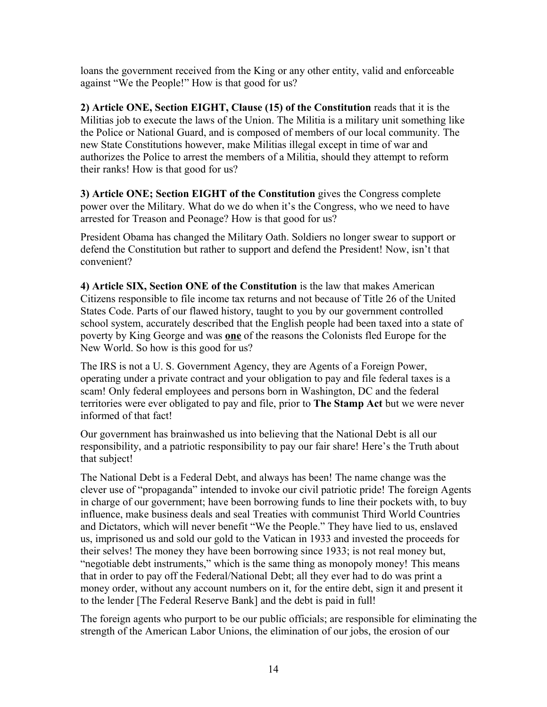loans the government received from the King or any other entity, valid and enforceable against "We the People!" How is that good for us?

**2) Article ONE, Section EIGHT, Clause (15) of the Constitution** reads that it is the Militias job to execute the laws of the Union. The Militia is a military unit something like the Police or National Guard, and is composed of members of our local community. The new State Constitutions however, make Militias illegal except in time of war and authorizes the Police to arrest the members of a Militia, should they attempt to reform their ranks! How is that good for us?

**3) Article ONE; Section EIGHT of the Constitution** gives the Congress complete power over the Military. What do we do when it's the Congress, who we need to have arrested for Treason and Peonage? How is that good for us?

President Obama has changed the Military Oath. Soldiers no longer swear to support or defend the Constitution but rather to support and defend the President! Now, isn't that convenient?

**4) Article SIX, Section ONE of the Constitution** is the law that makes American Citizens responsible to file income tax returns and not because of Title 26 of the United States Code. Parts of our flawed history, taught to you by our government controlled school system, accurately described that the English people had been taxed into a state of poverty by King George and was **one** of the reasons the Colonists fled Europe for the New World. So how is this good for us?

The IRS is not a U. S. Government Agency, they are Agents of a Foreign Power, operating under a private contract and your obligation to pay and file federal taxes is a scam! Only federal employees and persons born in Washington, DC and the federal territories were ever obligated to pay and file, prior to **The Stamp Act** but we were never informed of that fact!

Our government has brainwashed us into believing that the National Debt is all our responsibility, and a patriotic responsibility to pay our fair share! Here's the Truth about that subject!

The National Debt is a Federal Debt, and always has been! The name change was the clever use of "propaganda" intended to invoke our civil patriotic pride! The foreign Agents in charge of our government; have been borrowing funds to line their pockets with, to buy influence, make business deals and seal Treaties with communist Third World Countries and Dictators, which will never benefit "We the People." They have lied to us, enslaved us, imprisoned us and sold our gold to the Vatican in 1933 and invested the proceeds for their selves! The money they have been borrowing since 1933; is not real money but, "negotiable debt instruments," which is the same thing as monopoly money! This means that in order to pay off the Federal/National Debt; all they ever had to do was print a money order, without any account numbers on it, for the entire debt, sign it and present it to the lender [The Federal Reserve Bank] and the debt is paid in full!

The foreign agents who purport to be our public officials; are responsible for eliminating the strength of the American Labor Unions, the elimination of our jobs, the erosion of our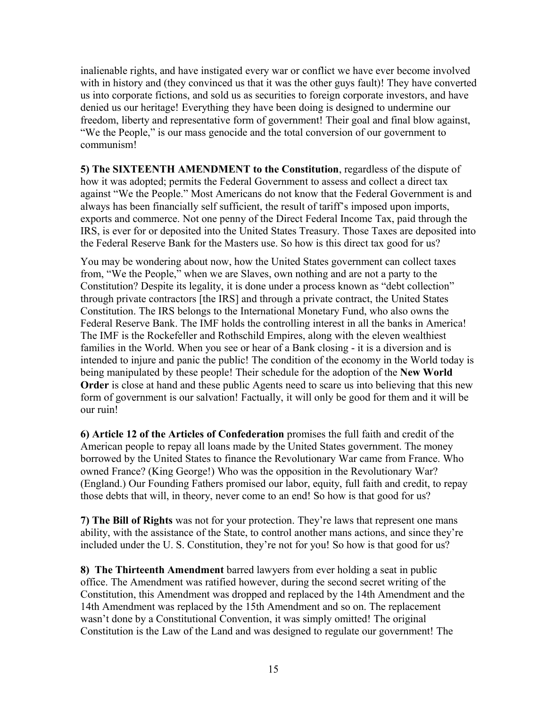inalienable rights, and have instigated every war or conflict we have ever become involved with in history and (they convinced us that it was the other guys fault)! They have converted us into corporate fictions, and sold us as securities to foreign corporate investors, and have denied us our heritage! Everything they have been doing is designed to undermine our freedom, liberty and representative form of government! Their goal and final blow against, "We the People," is our mass genocide and the total conversion of our government to communism!

**5) The SIXTEENTH AMENDMENT to the Constitution**, regardless of the dispute of how it was adopted; permits the Federal Government to assess and collect a direct tax against "We the People." Most Americans do not know that the Federal Government is and always has been financially self sufficient, the result of tariff's imposed upon imports, exports and commerce. Not one penny of the Direct Federal Income Tax, paid through the IRS, is ever for or deposited into the United States Treasury. Those Taxes are deposited into the Federal Reserve Bank for the Masters use. So how is this direct tax good for us?

You may be wondering about now, how the United States government can collect taxes from, "We the People," when we are Slaves, own nothing and are not a party to the Constitution? Despite its legality, it is done under a process known as "debt collection" through private contractors [the IRS] and through a private contract, the United States Constitution. The IRS belongs to the International Monetary Fund, who also owns the Federal Reserve Bank. The IMF holds the controlling interest in all the banks in America! The IMF is the Rockefeller and Rothschild Empires, along with the eleven wealthiest families in the World. When you see or hear of a Bank closing - it is a diversion and is intended to injure and panic the public! The condition of the economy in the World today is being manipulated by these people! Their schedule for the adoption of the **New World Order** is close at hand and these public Agents need to scare us into believing that this new form of government is our salvation! Factually, it will only be good for them and it will be our ruin!

**6) Article 12 of the Articles of Confederation** promises the full faith and credit of the American people to repay all loans made by the United States government. The money borrowed by the United States to finance the Revolutionary War came from France. Who owned France? (King George!) Who was the opposition in the Revolutionary War? (England.) Our Founding Fathers promised our labor, equity, full faith and credit, to repay those debts that will, in theory, never come to an end! So how is that good for us?

**7) The Bill of Rights** was not for your protection. They're laws that represent one mans ability, with the assistance of the State, to control another mans actions, and since they're included under the U. S. Constitution, they're not for you! So how is that good for us?

**8) The Thirteenth Amendment** barred lawyers from ever holding a seat in public office. The Amendment was ratified however, during the second secret writing of the Constitution, this Amendment was dropped and replaced by the 14th Amendment and the 14th Amendment was replaced by the 15th Amendment and so on. The replacement wasn't done by a Constitutional Convention, it was simply omitted! The original Constitution is the Law of the Land and was designed to regulate our government! The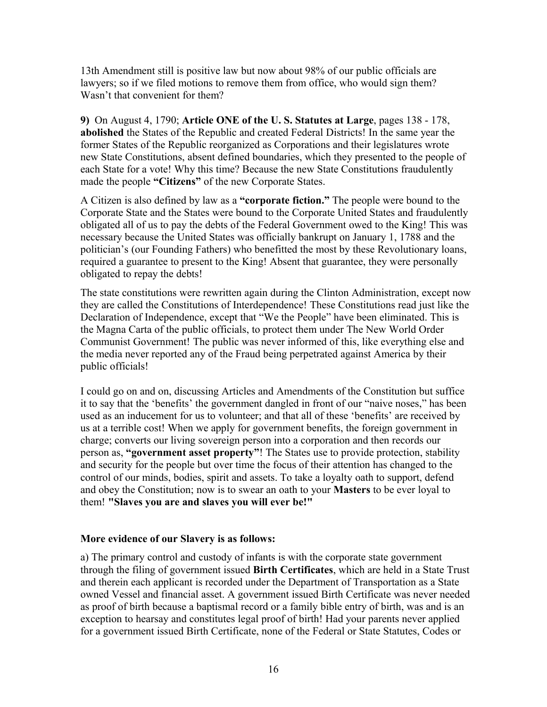13th Amendment still is positive law but now about 98% of our public officials are lawyers; so if we filed motions to remove them from office, who would sign them? Wasn't that convenient for them?

**9)** On August 4, 1790; **Article ONE of the U. S. Statutes at Large**, pages 138 - 178, **abolished** the States of the Republic and created Federal Districts! In the same year the former States of the Republic reorganized as Corporations and their legislatures wrote new State Constitutions, absent defined boundaries, which they presented to the people of each State for a vote! Why this time? Because the new State Constitutions fraudulently made the people **"Citizens"** of the new Corporate States.

A Citizen is also defined by law as a **"corporate fiction."** The people were bound to the Corporate State and the States were bound to the Corporate United States and fraudulently obligated all of us to pay the debts of the Federal Government owed to the King! This was necessary because the United States was officially bankrupt on January 1, 1788 and the politician's (our Founding Fathers) who benefitted the most by these Revolutionary loans, required a guarantee to present to the King! Absent that guarantee, they were personally obligated to repay the debts!

The state constitutions were rewritten again during the Clinton Administration, except now they are called the Constitutions of Interdependence! These Constitutions read just like the Declaration of Independence, except that "We the People" have been eliminated. This is the Magna Carta of the public officials, to protect them under The New World Order Communist Government! The public was never informed of this, like everything else and the media never reported any of the Fraud being perpetrated against America by their public officials!

I could go on and on, discussing Articles and Amendments of the Constitution but suffice it to say that the 'benefits' the government dangled in front of our "naive noses," has been used as an inducement for us to volunteer; and that all of these 'benefits' are received by us at a terrible cost! When we apply for government benefits, the foreign government in charge; converts our living sovereign person into a corporation and then records our person as, **"government asset property"**! The States use to provide protection, stability and security for the people but over time the focus of their attention has changed to the control of our minds, bodies, spirit and assets. To take a loyalty oath to support, defend and obey the Constitution; now is to swear an oath to your **Masters** to be ever loyal to them! **"Slaves you are and slaves you will ever be!"**

#### **More evidence of our Slavery is as follows:**

a) The primary control and custody of infants is with the corporate state government through the filing of government issued **Birth Certificates**, which are held in a State Trust and therein each applicant is recorded under the Department of Transportation as a State owned Vessel and financial asset. A government issued Birth Certificate was never needed as proof of birth because a baptismal record or a family bible entry of birth, was and is an exception to hearsay and constitutes legal proof of birth! Had your parents never applied for a government issued Birth Certificate, none of the Federal or State Statutes, Codes or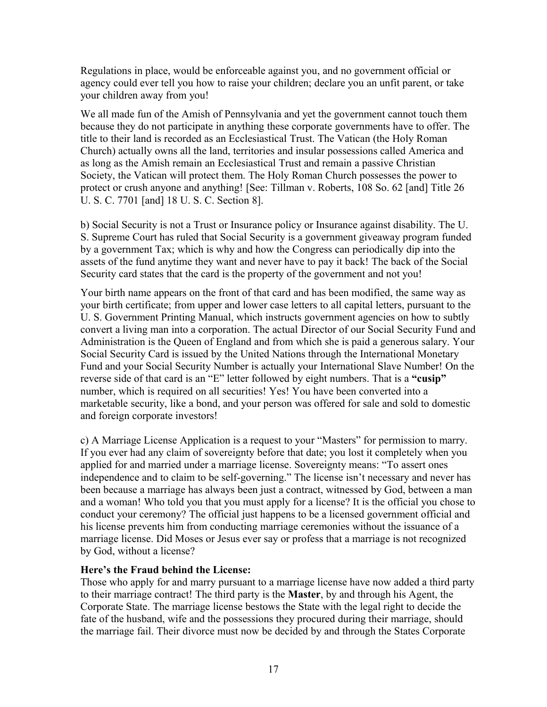Regulations in place, would be enforceable against you, and no government official or agency could ever tell you how to raise your children; declare you an unfit parent, or take your children away from you!

We all made fun of the Amish of Pennsylvania and yet the government cannot touch them because they do not participate in anything these corporate governments have to offer. The title to their land is recorded as an Ecclesiastical Trust. The Vatican (the Holy Roman Church) actually owns all the land, territories and insular possessions called America and as long as the Amish remain an Ecclesiastical Trust and remain a passive Christian Society, the Vatican will protect them. The Holy Roman Church possesses the power to protect or crush anyone and anything! [See: Tillman v. Roberts, 108 So. 62 [and] Title 26 U. S. C. 7701 [and] 18 U. S. C. Section 8].

b) Social Security is not a Trust or Insurance policy or Insurance against disability. The U. S. Supreme Court has ruled that Social Security is a government giveaway program funded by a government Tax; which is why and how the Congress can periodically dip into the assets of the fund anytime they want and never have to pay it back! The back of the Social Security card states that the card is the property of the government and not you!

Your birth name appears on the front of that card and has been modified, the same way as your birth certificate; from upper and lower case letters to all capital letters, pursuant to the U. S. Government Printing Manual, which instructs government agencies on how to subtly convert a living man into a corporation. The actual Director of our Social Security Fund and Administration is the Queen of England and from which she is paid a generous salary. Your Social Security Card is issued by the United Nations through the International Monetary Fund and your Social Security Number is actually your International Slave Number! On the reverse side of that card is an "E" letter followed by eight numbers. That is a **"cusip"** number, which is required on all securities! Yes! You have been converted into a marketable security, like a bond, and your person was offered for sale and sold to domestic and foreign corporate investors!

c) A Marriage License Application is a request to your "Masters" for permission to marry. If you ever had any claim of sovereignty before that date; you lost it completely when you applied for and married under a marriage license. Sovereignty means: "To assert ones independence and to claim to be self-governing." The license isn't necessary and never has been because a marriage has always been just a contract, witnessed by God, between a man and a woman! Who told you that you must apply for a license? It is the official you chose to conduct your ceremony? The official just happens to be a licensed government official and his license prevents him from conducting marriage ceremonies without the issuance of a marriage license. Did Moses or Jesus ever say or profess that a marriage is not recognized by God, without a license?

### **Here's the Fraud behind the License:**

Those who apply for and marry pursuant to a marriage license have now added a third party to their marriage contract! The third party is the **Master**, by and through his Agent, the Corporate State. The marriage license bestows the State with the legal right to decide the fate of the husband, wife and the possessions they procured during their marriage, should the marriage fail. Their divorce must now be decided by and through the States Corporate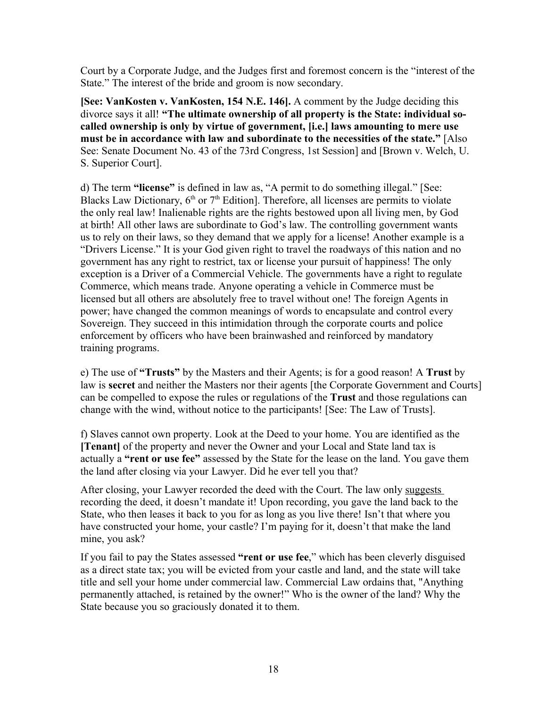Court by a Corporate Judge, and the Judges first and foremost concern is the "interest of the State." The interest of the bride and groom is now secondary.

**[See: VanKosten v. VanKosten, 154 N.E. 146].** A comment by the Judge deciding this divorce says it all! **"The ultimate ownership of all property is the State: individual socalled ownership is only by virtue of government, [i.e.] laws amounting to mere use must be in accordance with law and subordinate to the necessities of the state."** [Also See: Senate Document No. 43 of the 73rd Congress, 1st Session] and [Brown v. Welch, U. S. Superior Court].

d) The term **"license"** is defined in law as, "A permit to do something illegal." [See: Blacks Law Dictionary,  $6<sup>th</sup>$  or  $7<sup>th</sup>$  Edition]. Therefore, all licenses are permits to violate the only real law! Inalienable rights are the rights bestowed upon all living men, by God at birth! All other laws are subordinate to God's law. The controlling government wants us to rely on their laws, so they demand that we apply for a license! Another example is a "Drivers License." It is your God given right to travel the roadways of this nation and no government has any right to restrict, tax or license your pursuit of happiness! The only exception is a Driver of a Commercial Vehicle. The governments have a right to regulate Commerce, which means trade. Anyone operating a vehicle in Commerce must be licensed but all others are absolutely free to travel without one! The foreign Agents in power; have changed the common meanings of words to encapsulate and control every Sovereign. They succeed in this intimidation through the corporate courts and police enforcement by officers who have been brainwashed and reinforced by mandatory training programs.

e) The use of **"Trusts"** by the Masters and their Agents; is for a good reason! A **Trust** by law is **secret** and neither the Masters nor their agents [the Corporate Government and Courts] can be compelled to expose the rules or regulations of the **Trust** and those regulations can change with the wind, without notice to the participants! [See: The Law of Trusts].

f) Slaves cannot own property. Look at the Deed to your home. You are identified as the **[Tenant]** of the property and never the Owner and your Local and State land tax is actually a **"rent or use fee"** assessed by the State for the lease on the land. You gave them the land after closing via your Lawyer. Did he ever tell you that?

After closing, your Lawyer recorded the deed with the Court. The law only suggests recording the deed, it doesn't mandate it! Upon recording, you gave the land back to the State, who then leases it back to you for as long as you live there! Isn't that where you have constructed your home, your castle? I'm paying for it, doesn't that make the land mine, you ask?

If you fail to pay the States assessed **"rent or use fee**," which has been cleverly disguised as a direct state tax; you will be evicted from your castle and land, and the state will take title and sell your home under commercial law. Commercial Law ordains that, "Anything permanently attached, is retained by the owner!" Who is the owner of the land? Why the State because you so graciously donated it to them.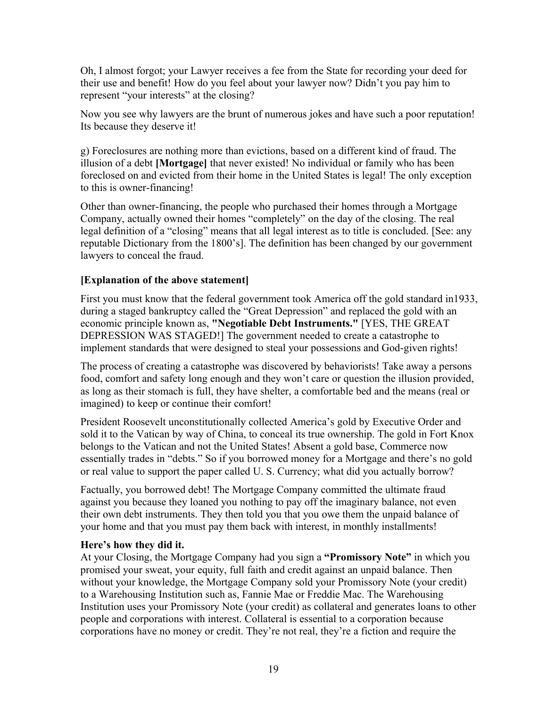Oh, I almost forgot; your Lawyer receives a fee from the State for recording your deed for their use and benefit! How do you feel about your lawyer now? Didn't you pay him to represent "your interests" at the closing?

Now you see why lawyers are the brunt of numerous jokes and have such a poor reputation! Its because they deserve it!

g) Foreclosures are nothing more than evictions, based on a different kind of fraud. The illusion of a debt **[Mortgage]** that never existed! No individual or family who has been foreclosed on and evicted from their home in the United States is legal! The only exception to this is owner-financing!

Other than owner-financing, the people who purchased their homes through a Mortgage Company, actually owned their homes "completely" on the day of the closing. The real legal definition of a "closing" means that all legal interest as to title is concluded. [See: any reputable Dictionary from the 1800's]. The definition has been changed by our government lawyers to conceal the fraud.

### **[Explanation of the above statement]**

First you must know that the federal government took America off the gold standard in1933, during a staged bankruptcy called the "Great Depression" and replaced the gold with an economic principle known as, **"Negotiable Debt Instruments."** [YES, THE GREAT DEPRESSION WAS STAGED!] The government needed to create a catastrophe to implement standards that were designed to steal your possessions and God-given rights!

The process of creating a catastrophe was discovered by behaviorists! Take away a persons food, comfort and safety long enough and they won't care or question the illusion provided, as long as their stomach is full, they have shelter, a comfortable bed and the means (real or imagined) to keep or continue their comfort!

President Roosevelt unconstitutionally collected America's gold by Executive Order and sold it to the Vatican by way of China, to conceal its true ownership. The gold in Fort Knox belongs to the Vatican and not the United States! Absent a gold base, Commerce now essentially trades in "debts." So if you borrowed money for a Mortgage and there's no gold or real value to support the paper called U. S. Currency; what did you actually borrow?

Factually, you borrowed debt! The Mortgage Company committed the ultimate fraud against you because they loaned you nothing to pay off the imaginary balance, not even their own debt instruments. They then told you that you owe them the unpaid balance of your home and that you must pay them back with interest, in monthly installments!

### **Here's how they did it.**

At your Closing, the Mortgage Company had you sign a **"Promissory Note"** in which you promised your sweat, your equity, full faith and credit against an unpaid balance. Then without your knowledge, the Mortgage Company sold your Promissory Note (your credit) to a Warehousing Institution such as, Fannie Mae or Freddie Mac. The Warehousing Institution uses your Promissory Note (your credit) as collateral and generates loans to other people and corporations with interest. Collateral is essential to a corporation because corporations have no money or credit. They're not real, they're a fiction and require the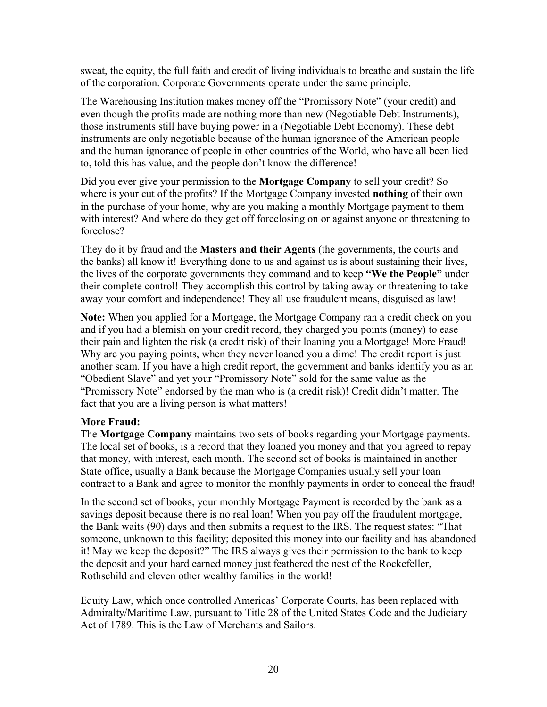sweat, the equity, the full faith and credit of living individuals to breathe and sustain the life of the corporation. Corporate Governments operate under the same principle.

The Warehousing Institution makes money off the "Promissory Note" (your credit) and even though the profits made are nothing more than new (Negotiable Debt Instruments), those instruments still have buying power in a (Negotiable Debt Economy). These debt instruments are only negotiable because of the human ignorance of the American people and the human ignorance of people in other countries of the World, who have all been lied to, told this has value, and the people don't know the difference!

Did you ever give your permission to the **Mortgage Company** to sell your credit? So where is your cut of the profits? If the Mortgage Company invested **nothing** of their own in the purchase of your home, why are you making a monthly Mortgage payment to them with interest? And where do they get off foreclosing on or against anyone or threatening to foreclose?

They do it by fraud and the **Masters and their Agents** (the governments, the courts and the banks) all know it! Everything done to us and against us is about sustaining their lives, the lives of the corporate governments they command and to keep **"We the People"** under their complete control! They accomplish this control by taking away or threatening to take away your comfort and independence! They all use fraudulent means, disguised as law!

**Note:** When you applied for a Mortgage, the Mortgage Company ran a credit check on you and if you had a blemish on your credit record, they charged you points (money) to ease their pain and lighten the risk (a credit risk) of their loaning you a Mortgage! More Fraud! Why are you paying points, when they never loaned you a dime! The credit report is just another scam. If you have a high credit report, the government and banks identify you as an "Obedient Slave" and yet your "Promissory Note" sold for the same value as the "Promissory Note" endorsed by the man who is (a credit risk)! Credit didn't matter. The fact that you are a living person is what matters!

### **More Fraud:**

The **Mortgage Company** maintains two sets of books regarding your Mortgage payments. The local set of books, is a record that they loaned you money and that you agreed to repay that money, with interest, each month. The second set of books is maintained in another State office, usually a Bank because the Mortgage Companies usually sell your loan contract to a Bank and agree to monitor the monthly payments in order to conceal the fraud!

In the second set of books, your monthly Mortgage Payment is recorded by the bank as a savings deposit because there is no real loan! When you pay off the fraudulent mortgage, the Bank waits (90) days and then submits a request to the IRS. The request states: "That someone, unknown to this facility; deposited this money into our facility and has abandoned it! May we keep the deposit?" The IRS always gives their permission to the bank to keep the deposit and your hard earned money just feathered the nest of the Rockefeller, Rothschild and eleven other wealthy families in the world!

Equity Law, which once controlled Americas' Corporate Courts, has been replaced with Admiralty/Maritime Law, pursuant to Title 28 of the United States Code and the Judiciary Act of 1789. This is the Law of Merchants and Sailors.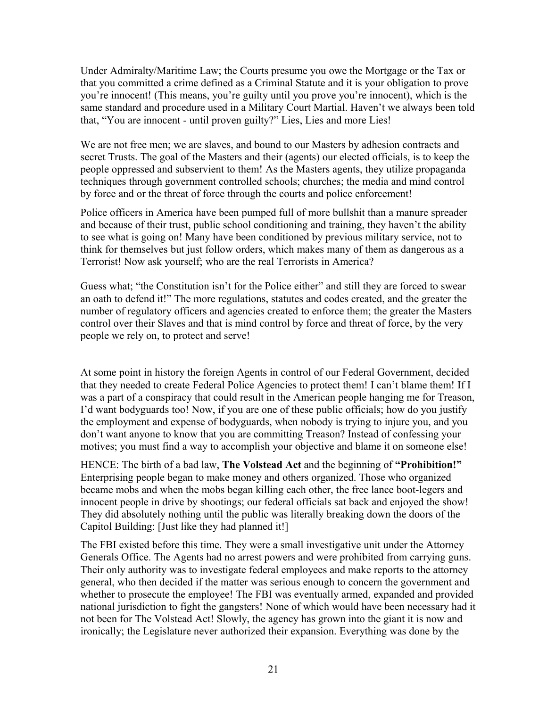Under Admiralty/Maritime Law; the Courts presume you owe the Mortgage or the Tax or that you committed a crime defined as a Criminal Statute and it is your obligation to prove you're innocent! (This means, you're guilty until you prove you're innocent), which is the same standard and procedure used in a Military Court Martial. Haven't we always been told that, "You are innocent - until proven guilty?" Lies, Lies and more Lies!

We are not free men; we are slaves, and bound to our Masters by adhesion contracts and secret Trusts. The goal of the Masters and their (agents) our elected officials, is to keep the people oppressed and subservient to them! As the Masters agents, they utilize propaganda techniques through government controlled schools; churches; the media and mind control by force and or the threat of force through the courts and police enforcement!

Police officers in America have been pumped full of more bullshit than a manure spreader and because of their trust, public school conditioning and training, they haven't the ability to see what is going on! Many have been conditioned by previous military service, not to think for themselves but just follow orders, which makes many of them as dangerous as a Terrorist! Now ask yourself; who are the real Terrorists in America?

Guess what; "the Constitution isn't for the Police either" and still they are forced to swear an oath to defend it!" The more regulations, statutes and codes created, and the greater the number of regulatory officers and agencies created to enforce them; the greater the Masters control over their Slaves and that is mind control by force and threat of force, by the very people we rely on, to protect and serve!

At some point in history the foreign Agents in control of our Federal Government, decided that they needed to create Federal Police Agencies to protect them! I can't blame them! If I was a part of a conspiracy that could result in the American people hanging me for Treason, I'd want bodyguards too! Now, if you are one of these public officials; how do you justify the employment and expense of bodyguards, when nobody is trying to injure you, and you don't want anyone to know that you are committing Treason? Instead of confessing your motives; you must find a way to accomplish your objective and blame it on someone else!

HENCE: The birth of a bad law, **The Volstead Act** and the beginning of **"Prohibition!"** Enterprising people began to make money and others organized. Those who organized became mobs and when the mobs began killing each other, the free lance boot-legers and innocent people in drive by shootings; our federal officials sat back and enjoyed the show! They did absolutely nothing until the public was literally breaking down the doors of the Capitol Building: [Just like they had planned it!]

The FBI existed before this time. They were a small investigative unit under the Attorney Generals Office. The Agents had no arrest powers and were prohibited from carrying guns. Their only authority was to investigate federal employees and make reports to the attorney general, who then decided if the matter was serious enough to concern the government and whether to prosecute the employee! The FBI was eventually armed, expanded and provided national jurisdiction to fight the gangsters! None of which would have been necessary had it not been for The Volstead Act! Slowly, the agency has grown into the giant it is now and ironically; the Legislature never authorized their expansion. Everything was done by the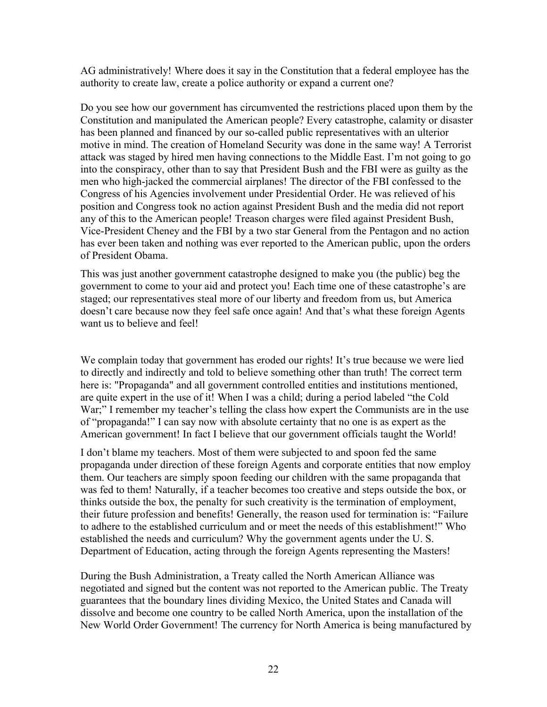AG administratively! Where does it say in the Constitution that a federal employee has the authority to create law, create a police authority or expand a current one?

Do you see how our government has circumvented the restrictions placed upon them by the Constitution and manipulated the American people? Every catastrophe, calamity or disaster has been planned and financed by our so-called public representatives with an ulterior motive in mind. The creation of Homeland Security was done in the same way! A Terrorist attack was staged by hired men having connections to the Middle East. I'm not going to go into the conspiracy, other than to say that President Bush and the FBI were as guilty as the men who high-jacked the commercial airplanes! The director of the FBI confessed to the Congress of his Agencies involvement under Presidential Order. He was relieved of his position and Congress took no action against President Bush and the media did not report any of this to the American people! Treason charges were filed against President Bush, Vice-President Cheney and the FBI by a two star General from the Pentagon and no action has ever been taken and nothing was ever reported to the American public, upon the orders of President Obama.

This was just another government catastrophe designed to make you (the public) beg the government to come to your aid and protect you! Each time one of these catastrophe's are staged; our representatives steal more of our liberty and freedom from us, but America doesn't care because now they feel safe once again! And that's what these foreign Agents want us to believe and feel!

We complain today that government has eroded our rights! It's true because we were lied to directly and indirectly and told to believe something other than truth! The correct term here is: "Propaganda" and all government controlled entities and institutions mentioned, are quite expert in the use of it! When I was a child; during a period labeled "the Cold War;" I remember my teacher's telling the class how expert the Communists are in the use of "propaganda!" I can say now with absolute certainty that no one is as expert as the American government! In fact I believe that our government officials taught the World!

I don't blame my teachers. Most of them were subjected to and spoon fed the same propaganda under direction of these foreign Agents and corporate entities that now employ them. Our teachers are simply spoon feeding our children with the same propaganda that was fed to them! Naturally, if a teacher becomes too creative and steps outside the box, or thinks outside the box, the penalty for such creativity is the termination of employment, their future profession and benefits! Generally, the reason used for termination is: "Failure to adhere to the established curriculum and or meet the needs of this establishment!" Who established the needs and curriculum? Why the government agents under the U. S. Department of Education, acting through the foreign Agents representing the Masters!

During the Bush Administration, a Treaty called the North American Alliance was negotiated and signed but the content was not reported to the American public. The Treaty guarantees that the boundary lines dividing Mexico, the United States and Canada will dissolve and become one country to be called North America, upon the installation of the New World Order Government! The currency for North America is being manufactured by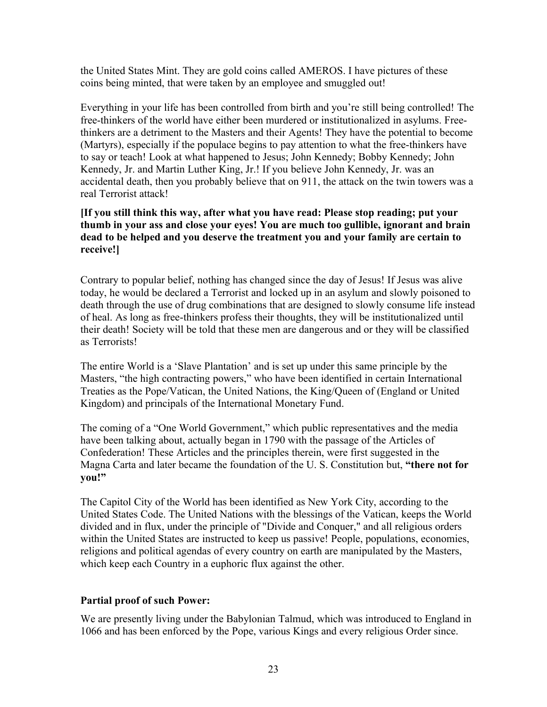the United States Mint. They are gold coins called AMEROS. I have pictures of these coins being minted, that were taken by an employee and smuggled out!

Everything in your life has been controlled from birth and you're still being controlled! The free-thinkers of the world have either been murdered or institutionalized in asylums. Freethinkers are a detriment to the Masters and their Agents! They have the potential to become (Martyrs), especially if the populace begins to pay attention to what the free-thinkers have to say or teach! Look at what happened to Jesus; John Kennedy; Bobby Kennedy; John Kennedy, Jr. and Martin Luther King, Jr.! If you believe John Kennedy, Jr. was an accidental death, then you probably believe that on 911, the attack on the twin towers was a real Terrorist attack!

#### **[If you still think this way, after what you have read: Please stop reading; put your thumb in your ass and close your eyes! You are much too gullible, ignorant and brain dead to be helped and you deserve the treatment you and your family are certain to receive!]**

Contrary to popular belief, nothing has changed since the day of Jesus! If Jesus was alive today, he would be declared a Terrorist and locked up in an asylum and slowly poisoned to death through the use of drug combinations that are designed to slowly consume life instead of heal. As long as free-thinkers profess their thoughts, they will be institutionalized until their death! Society will be told that these men are dangerous and or they will be classified as Terrorists!

The entire World is a 'Slave Plantation' and is set up under this same principle by the Masters, "the high contracting powers," who have been identified in certain International Treaties as the Pope/Vatican, the United Nations, the King/Queen of (England or United Kingdom) and principals of the International Monetary Fund.

The coming of a "One World Government," which public representatives and the media have been talking about, actually began in 1790 with the passage of the Articles of Confederation! These Articles and the principles therein, were first suggested in the Magna Carta and later became the foundation of the U. S. Constitution but, **"there not for you!"**

The Capitol City of the World has been identified as New York City, according to the United States Code. The United Nations with the blessings of the Vatican, keeps the World divided and in flux, under the principle of "Divide and Conquer," and all religious orders within the United States are instructed to keep us passive! People, populations, economies, religions and political agendas of every country on earth are manipulated by the Masters, which keep each Country in a euphoric flux against the other.

# **Partial proof of such Power:**

We are presently living under the Babylonian Talmud, which was introduced to England in 1066 and has been enforced by the Pope, various Kings and every religious Order since.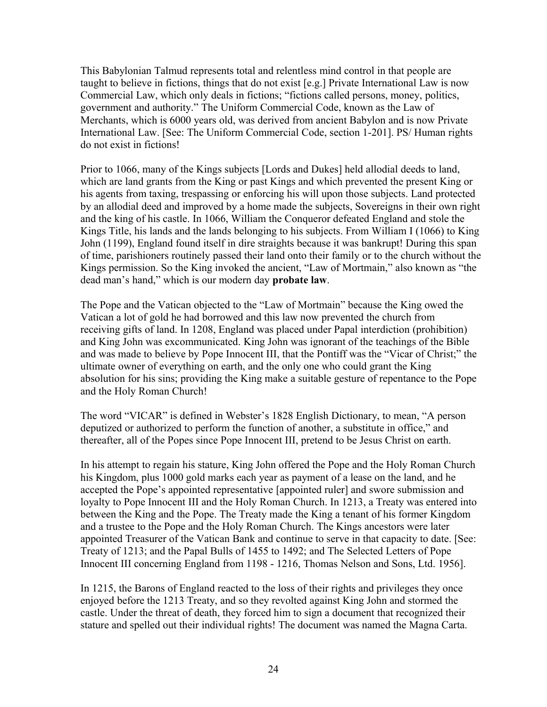This Babylonian Talmud represents total and relentless mind control in that people are taught to believe in fictions, things that do not exist [e.g.] Private International Law is now Commercial Law, which only deals in fictions; "fictions called persons, money, politics, government and authority." The Uniform Commercial Code, known as the Law of Merchants, which is 6000 years old, was derived from ancient Babylon and is now Private International Law. [See: The Uniform Commercial Code, section 1-201]. PS/ Human rights do not exist in fictions!

Prior to 1066, many of the Kings subjects [Lords and Dukes] held allodial deeds to land, which are land grants from the King or past Kings and which prevented the present King or his agents from taxing, trespassing or enforcing his will upon those subjects. Land protected by an allodial deed and improved by a home made the subjects, Sovereigns in their own right and the king of his castle. In 1066, William the Conqueror defeated England and stole the Kings Title, his lands and the lands belonging to his subjects. From William I (1066) to King John (1199), England found itself in dire straights because it was bankrupt! During this span of time, parishioners routinely passed their land onto their family or to the church without the Kings permission. So the King invoked the ancient, "Law of Mortmain," also known as "the dead man's hand," which is our modern day **probate law**.

The Pope and the Vatican objected to the "Law of Mortmain" because the King owed the Vatican a lot of gold he had borrowed and this law now prevented the church from receiving gifts of land. In 1208, England was placed under Papal interdiction (prohibition) and King John was excommunicated. King John was ignorant of the teachings of the Bible and was made to believe by Pope Innocent III, that the Pontiff was the "Vicar of Christ;" the ultimate owner of everything on earth, and the only one who could grant the King absolution for his sins; providing the King make a suitable gesture of repentance to the Pope and the Holy Roman Church!

The word "VICAR" is defined in Webster's 1828 English Dictionary, to mean, "A person deputized or authorized to perform the function of another, a substitute in office," and thereafter, all of the Popes since Pope Innocent III, pretend to be Jesus Christ on earth.

In his attempt to regain his stature, King John offered the Pope and the Holy Roman Church his Kingdom, plus 1000 gold marks each year as payment of a lease on the land, and he accepted the Pope's appointed representative [appointed ruler] and swore submission and loyalty to Pope Innocent III and the Holy Roman Church. In 1213, a Treaty was entered into between the King and the Pope. The Treaty made the King a tenant of his former Kingdom and a trustee to the Pope and the Holy Roman Church. The Kings ancestors were later appointed Treasurer of the Vatican Bank and continue to serve in that capacity to date. [See: Treaty of 1213; and the Papal Bulls of 1455 to 1492; and The Selected Letters of Pope Innocent III concerning England from 1198 - 1216, Thomas Nelson and Sons, Ltd. 1956].

In 1215, the Barons of England reacted to the loss of their rights and privileges they once enjoyed before the 1213 Treaty, and so they revolted against King John and stormed the castle. Under the threat of death, they forced him to sign a document that recognized their stature and spelled out their individual rights! The document was named the Magna Carta.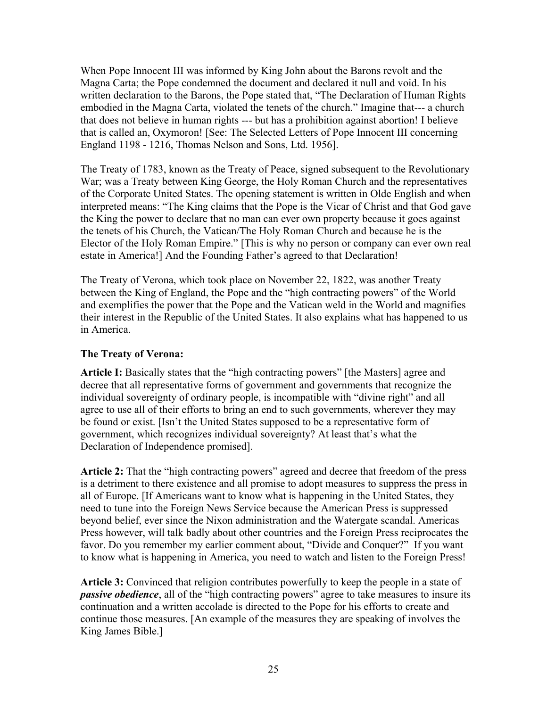When Pope Innocent III was informed by King John about the Barons revolt and the Magna Carta; the Pope condemned the document and declared it null and void. In his written declaration to the Barons, the Pope stated that, "The Declaration of Human Rights embodied in the Magna Carta, violated the tenets of the church." Imagine that--- a church that does not believe in human rights --- but has a prohibition against abortion! I believe that is called an, Oxymoron! [See: The Selected Letters of Pope Innocent III concerning England 1198 - 1216, Thomas Nelson and Sons, Ltd. 1956].

The Treaty of 1783, known as the Treaty of Peace, signed subsequent to the Revolutionary War; was a Treaty between King George, the Holy Roman Church and the representatives of the Corporate United States. The opening statement is written in Olde English and when interpreted means: "The King claims that the Pope is the Vicar of Christ and that God gave the King the power to declare that no man can ever own property because it goes against the tenets of his Church, the Vatican/The Holy Roman Church and because he is the Elector of the Holy Roman Empire." [This is why no person or company can ever own real estate in America!] And the Founding Father's agreed to that Declaration!

The Treaty of Verona, which took place on November 22, 1822, was another Treaty between the King of England, the Pope and the "high contracting powers" of the World and exemplifies the power that the Pope and the Vatican weld in the World and magnifies their interest in the Republic of the United States. It also explains what has happened to us in America.

### **The Treaty of Verona:**

**Article I:** Basically states that the "high contracting powers" [the Masters] agree and decree that all representative forms of government and governments that recognize the individual sovereignty of ordinary people, is incompatible with "divine right" and all agree to use all of their efforts to bring an end to such governments, wherever they may be found or exist. [Isn't the United States supposed to be a representative form of government, which recognizes individual sovereignty? At least that's what the Declaration of Independence promised].

**Article 2:** That the "high contracting powers" agreed and decree that freedom of the press is a detriment to there existence and all promise to adopt measures to suppress the press in all of Europe. [If Americans want to know what is happening in the United States, they need to tune into the Foreign News Service because the American Press is suppressed beyond belief, ever since the Nixon administration and the Watergate scandal. Americas Press however, will talk badly about other countries and the Foreign Press reciprocates the favor. Do you remember my earlier comment about, "Divide and Conquer?" If you want to know what is happening in America, you need to watch and listen to the Foreign Press!

**Article 3:** Convinced that religion contributes powerfully to keep the people in a state of *passive obedience*, all of the "high contracting powers" agree to take measures to insure its continuation and a written accolade is directed to the Pope for his efforts to create and continue those measures. [An example of the measures they are speaking of involves the King James Bible.]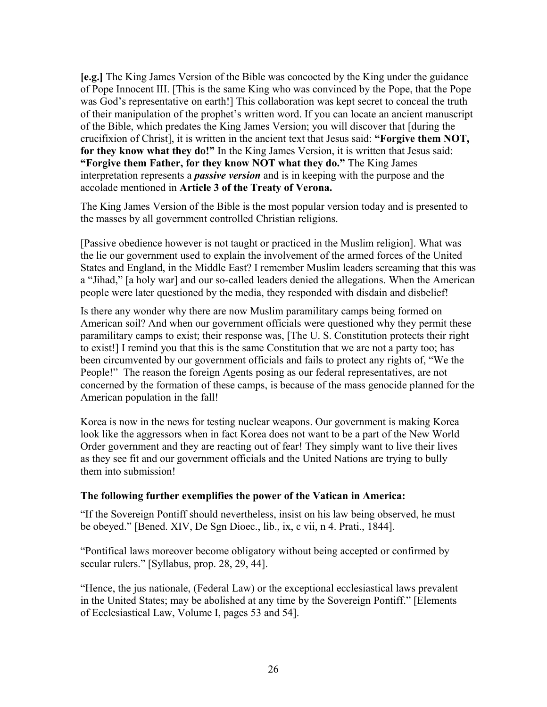**[e.g.]** The King James Version of the Bible was concocted by the King under the guidance of Pope Innocent III. [This is the same King who was convinced by the Pope, that the Pope was God's representative on earth!] This collaboration was kept secret to conceal the truth of their manipulation of the prophet's written word. If you can locate an ancient manuscript of the Bible, which predates the King James Version; you will discover that [during the crucifixion of Christ], it is written in the ancient text that Jesus said: **"Forgive them NOT, for they know what they do!"** In the King James Version, it is written that Jesus said: **"Forgive them Father, for they know NOT what they do."** The King James interpretation represents a *passive version* and is in keeping with the purpose and the accolade mentioned in **Article 3 of the Treaty of Verona.**

The King James Version of the Bible is the most popular version today and is presented to the masses by all government controlled Christian religions.

[Passive obedience however is not taught or practiced in the Muslim religion]. What was the lie our government used to explain the involvement of the armed forces of the United States and England, in the Middle East? I remember Muslim leaders screaming that this was a "Jihad," [a holy war] and our so-called leaders denied the allegations. When the American people were later questioned by the media, they responded with disdain and disbelief!

Is there any wonder why there are now Muslim paramilitary camps being formed on American soil? And when our government officials were questioned why they permit these paramilitary camps to exist; their response was, [The U. S. Constitution protects their right to exist!] I remind you that this is the same Constitution that we are not a party too; has been circumvented by our government officials and fails to protect any rights of, "We the People!" The reason the foreign Agents posing as our federal representatives, are not concerned by the formation of these camps, is because of the mass genocide planned for the American population in the fall!

Korea is now in the news for testing nuclear weapons. Our government is making Korea look like the aggressors when in fact Korea does not want to be a part of the New World Order government and they are reacting out of fear! They simply want to live their lives as they see fit and our government officials and the United Nations are trying to bully them into submission!

### **The following further exemplifies the power of the Vatican in America:**

"If the Sovereign Pontiff should nevertheless, insist on his law being observed, he must be obeyed." [Bened. XIV, De Sgn Dioec., lib., ix, c vii, n 4. Prati., 1844].

"Pontifical laws moreover become obligatory without being accepted or confirmed by secular rulers." [Syllabus, prop. 28, 29, 44].

"Hence, the jus nationale, (Federal Law) or the exceptional ecclesiastical laws prevalent in the United States; may be abolished at any time by the Sovereign Pontiff." [Elements of Ecclesiastical Law, Volume I, pages 53 and 54].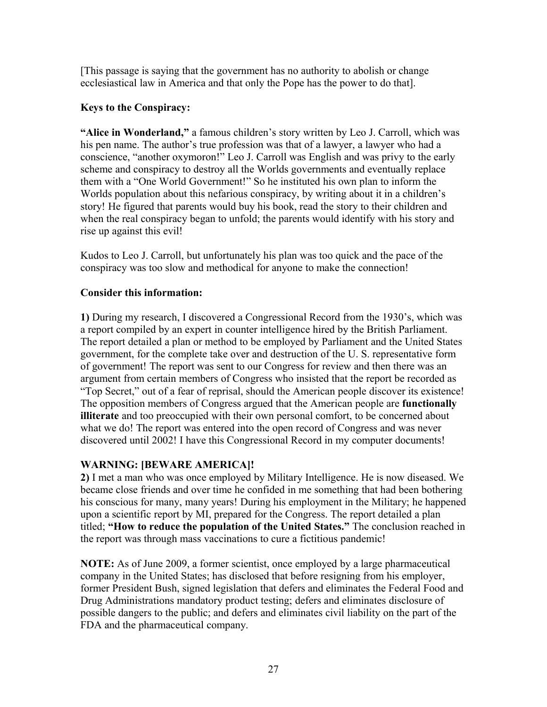[This passage is saying that the government has no authority to abolish or change ecclesiastical law in America and that only the Pope has the power to do that].

### **Keys to the Conspiracy:**

**"Alice in Wonderland,"** a famous children's story written by Leo J. Carroll, which was his pen name. The author's true profession was that of a lawyer, a lawyer who had a conscience, "another oxymoron!" Leo J. Carroll was English and was privy to the early scheme and conspiracy to destroy all the Worlds governments and eventually replace them with a "One World Government!" So he instituted his own plan to inform the Worlds population about this nefarious conspiracy, by writing about it in a children's story! He figured that parents would buy his book, read the story to their children and when the real conspiracy began to unfold; the parents would identify with his story and rise up against this evil!

Kudos to Leo J. Carroll, but unfortunately his plan was too quick and the pace of the conspiracy was too slow and methodical for anyone to make the connection!

### **Consider this information:**

**1)** During my research, I discovered a Congressional Record from the 1930's, which was a report compiled by an expert in counter intelligence hired by the British Parliament. The report detailed a plan or method to be employed by Parliament and the United States government, for the complete take over and destruction of the U. S. representative form of government! The report was sent to our Congress for review and then there was an argument from certain members of Congress who insisted that the report be recorded as "Top Secret," out of a fear of reprisal, should the American people discover its existence! The opposition members of Congress argued that the American people are **functionally illiterate** and too preoccupied with their own personal comfort, to be concerned about what we do! The report was entered into the open record of Congress and was never discovered until 2002! I have this Congressional Record in my computer documents!

# **WARNING: [BEWARE AMERICA]!**

**2)** I met a man who was once employed by Military Intelligence. He is now diseased. We became close friends and over time he confided in me something that had been bothering his conscious for many, many years! During his employment in the Military; he happened upon a scientific report by MI, prepared for the Congress. The report detailed a plan titled; **"How to reduce the population of the United States."** The conclusion reached in the report was through mass vaccinations to cure a fictitious pandemic!

**NOTE:** As of June 2009, a former scientist, once employed by a large pharmaceutical company in the United States; has disclosed that before resigning from his employer, former President Bush, signed legislation that defers and eliminates the Federal Food and Drug Administrations mandatory product testing; defers and eliminates disclosure of possible dangers to the public; and defers and eliminates civil liability on the part of the FDA and the pharmaceutical company.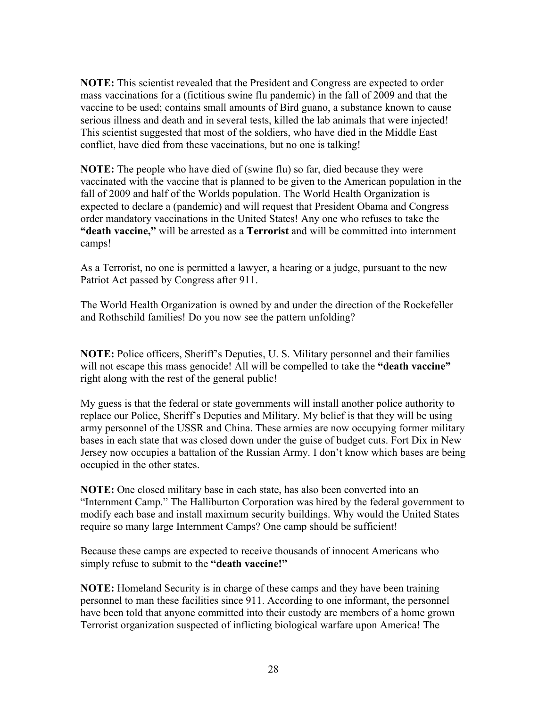**NOTE:** This scientist revealed that the President and Congress are expected to order mass vaccinations for a (fictitious swine flu pandemic) in the fall of 2009 and that the vaccine to be used; contains small amounts of Bird guano, a substance known to cause serious illness and death and in several tests, killed the lab animals that were injected! This scientist suggested that most of the soldiers, who have died in the Middle East conflict, have died from these vaccinations, but no one is talking!

**NOTE:** The people who have died of (swine flu) so far, died because they were vaccinated with the vaccine that is planned to be given to the American population in the fall of 2009 and half of the Worlds population. The World Health Organization is expected to declare a (pandemic) and will request that President Obama and Congress order mandatory vaccinations in the United States! Any one who refuses to take the **"death vaccine,"** will be arrested as a **Terrorist** and will be committed into internment camps!

As a Terrorist, no one is permitted a lawyer, a hearing or a judge, pursuant to the new Patriot Act passed by Congress after 911.

The World Health Organization is owned by and under the direction of the Rockefeller and Rothschild families! Do you now see the pattern unfolding?

**NOTE:** Police officers, Sheriff's Deputies, U. S. Military personnel and their families will not escape this mass genocide! All will be compelled to take the **"death vaccine"** right along with the rest of the general public!

My guess is that the federal or state governments will install another police authority to replace our Police, Sheriff's Deputies and Military. My belief is that they will be using army personnel of the USSR and China. These armies are now occupying former military bases in each state that was closed down under the guise of budget cuts. Fort Dix in New Jersey now occupies a battalion of the Russian Army. I don't know which bases are being occupied in the other states.

**NOTE:** One closed military base in each state, has also been converted into an "Internment Camp." The Halliburton Corporation was hired by the federal government to modify each base and install maximum security buildings. Why would the United States require so many large Internment Camps? One camp should be sufficient!

Because these camps are expected to receive thousands of innocent Americans who simply refuse to submit to the **"death vaccine!"**

**NOTE:** Homeland Security is in charge of these camps and they have been training personnel to man these facilities since 911. According to one informant, the personnel have been told that anyone committed into their custody are members of a home grown Terrorist organization suspected of inflicting biological warfare upon America! The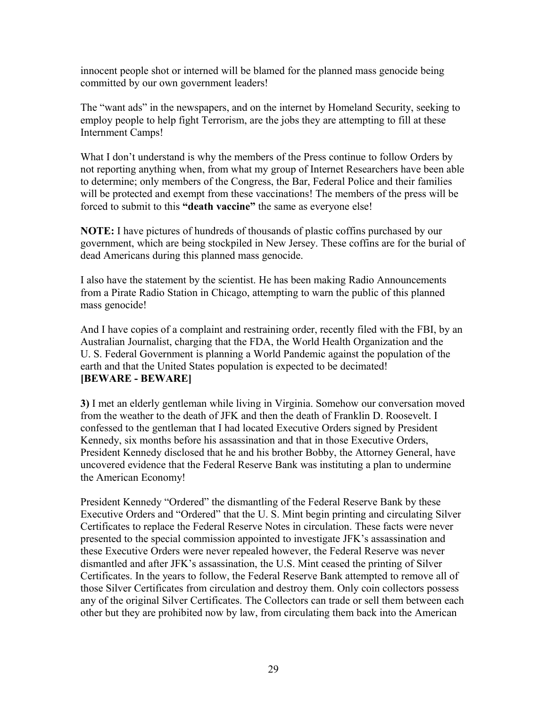innocent people shot or interned will be blamed for the planned mass genocide being committed by our own government leaders!

The "want ads" in the newspapers, and on the internet by Homeland Security, seeking to employ people to help fight Terrorism, are the jobs they are attempting to fill at these Internment Camps!

What I don't understand is why the members of the Press continue to follow Orders by not reporting anything when, from what my group of Internet Researchers have been able to determine; only members of the Congress, the Bar, Federal Police and their families will be protected and exempt from these vaccinations! The members of the press will be forced to submit to this **"death vaccine"** the same as everyone else!

**NOTE:** I have pictures of hundreds of thousands of plastic coffins purchased by our government, which are being stockpiled in New Jersey. These coffins are for the burial of dead Americans during this planned mass genocide.

I also have the statement by the scientist. He has been making Radio Announcements from a Pirate Radio Station in Chicago, attempting to warn the public of this planned mass genocide!

And I have copies of a complaint and restraining order, recently filed with the FBI, by an Australian Journalist, charging that the FDA, the World Health Organization and the U. S. Federal Government is planning a World Pandemic against the population of the earth and that the United States population is expected to be decimated! **[BEWARE - BEWARE]**

**3)** I met an elderly gentleman while living in Virginia. Somehow our conversation moved from the weather to the death of JFK and then the death of Franklin D. Roosevelt. I confessed to the gentleman that I had located Executive Orders signed by President Kennedy, six months before his assassination and that in those Executive Orders, President Kennedy disclosed that he and his brother Bobby, the Attorney General, have uncovered evidence that the Federal Reserve Bank was instituting a plan to undermine the American Economy!

President Kennedy "Ordered" the dismantling of the Federal Reserve Bank by these Executive Orders and "Ordered" that the U. S. Mint begin printing and circulating Silver Certificates to replace the Federal Reserve Notes in circulation. These facts were never presented to the special commission appointed to investigate JFK's assassination and these Executive Orders were never repealed however, the Federal Reserve was never dismantled and after JFK's assassination, the U.S. Mint ceased the printing of Silver Certificates. In the years to follow, the Federal Reserve Bank attempted to remove all of those Silver Certificates from circulation and destroy them. Only coin collectors possess any of the original Silver Certificates. The Collectors can trade or sell them between each other but they are prohibited now by law, from circulating them back into the American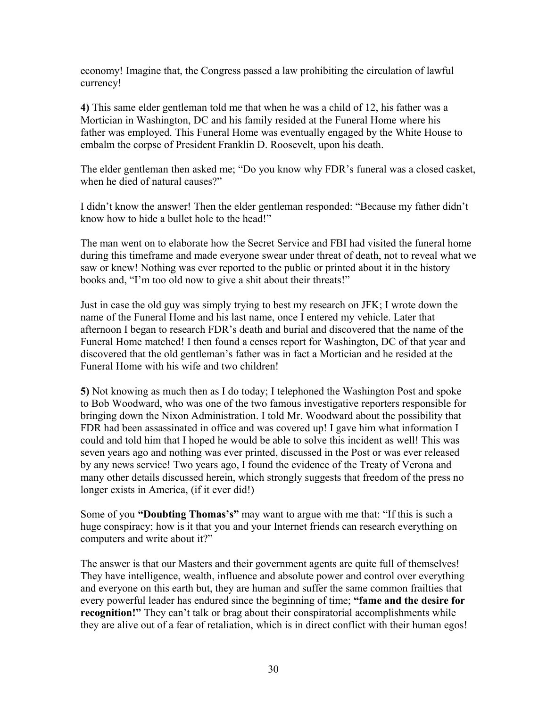economy! Imagine that, the Congress passed a law prohibiting the circulation of lawful currency!

**4)** This same elder gentleman told me that when he was a child of 12, his father was a Mortician in Washington, DC and his family resided at the Funeral Home where his father was employed. This Funeral Home was eventually engaged by the White House to embalm the corpse of President Franklin D. Roosevelt, upon his death.

The elder gentleman then asked me; "Do you know why FDR's funeral was a closed casket, when he died of natural causes?"

I didn't know the answer! Then the elder gentleman responded: "Because my father didn't know how to hide a bullet hole to the head!"

The man went on to elaborate how the Secret Service and FBI had visited the funeral home during this timeframe and made everyone swear under threat of death, not to reveal what we saw or knew! Nothing was ever reported to the public or printed about it in the history books and, "I'm too old now to give a shit about their threats!"

Just in case the old guy was simply trying to best my research on JFK; I wrote down the name of the Funeral Home and his last name, once I entered my vehicle. Later that afternoon I began to research FDR's death and burial and discovered that the name of the Funeral Home matched! I then found a censes report for Washington, DC of that year and discovered that the old gentleman's father was in fact a Mortician and he resided at the Funeral Home with his wife and two children!

**5)** Not knowing as much then as I do today; I telephoned the Washington Post and spoke to Bob Woodward, who was one of the two famous investigative reporters responsible for bringing down the Nixon Administration. I told Mr. Woodward about the possibility that FDR had been assassinated in office and was covered up! I gave him what information I could and told him that I hoped he would be able to solve this incident as well! This was seven years ago and nothing was ever printed, discussed in the Post or was ever released by any news service! Two years ago, I found the evidence of the Treaty of Verona and many other details discussed herein, which strongly suggests that freedom of the press no longer exists in America, (if it ever did!)

Some of you **"Doubting Thomas's"** may want to argue with me that: "If this is such a huge conspiracy; how is it that you and your Internet friends can research everything on computers and write about it?"

The answer is that our Masters and their government agents are quite full of themselves! They have intelligence, wealth, influence and absolute power and control over everything and everyone on this earth but, they are human and suffer the same common frailties that every powerful leader has endured since the beginning of time; **"fame and the desire for recognition!"** They can't talk or brag about their conspiratorial accomplishments while they are alive out of a fear of retaliation, which is in direct conflict with their human egos!